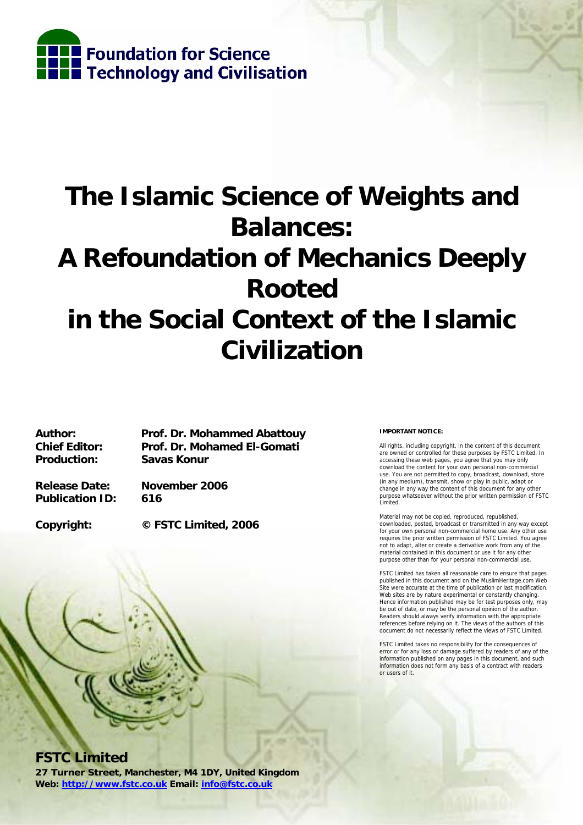

# **The Islamic Science of Weights and Balances: A Refoundation of Mechanics Deeply Rooted in the Social Context of the Islamic Civilization**

**Author: Prof. Dr. Mohammed Abattouy Chief Editor: Prof. Dr. Mohamed El-Gomati Production: Savas Konur** 

**Release Date: November 2006 Publication ID: 616** 

**Copyright: © FSTC Limited, 2006** 



**FSTC Limited** 

**27 Turner Street, Manchester, M4 1DY, United Kingdom Web: http://www.fstc.co.uk Email: info@fstc.co.uk**

#### **IMPORTANT NOTICE:**

All rights, including copyright, in the content of this document are owned or controlled for these purposes by FSTC Limited. In accessing these web pages, you agree that you may only download the content for your own personal non-commercial use. You are not permitted to copy, broadcast, download, store (in any medium), transmit, show or play in public, adapt or change in any way the content of this document for any other purpose whatsoever without the prior written permission of FSTC Limited.

Material may not be copied, reproduced, republished, downloaded, posted, broadcast or transmitted in any way except for your own personal non-commercial home use. Any other use requires the prior written permission of FSTC Limited. You agree not to adapt, alter or create a derivative work from any of the material contained in this document or use it for any other purpose other than for your personal non-commercial use.

FSTC Limited has taken all reasonable care to ensure that pages published in this document and on the MuslimHeritage.com Web Site were accurate at the time of publication or last modification. Web sites are by nature experimental or constantly changing. Hence information published may be for test purposes only, may be out of date, or may be the personal opinion of the author. Readers should always verify information with the appropriate references before relying on it. The views of the authors of this document do not necessarily reflect the views of FSTC Limited.

FSTC Limited takes no responsibility for the consequences of error or for any loss or damage suffered by readers of any of the information published on any pages in this document, and such information does not form any basis of a contract with readers or users of it.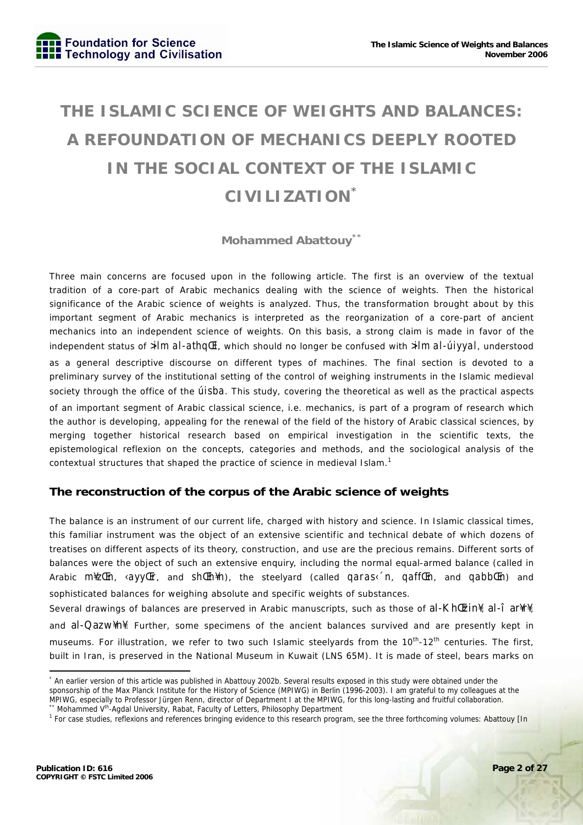## **THE ISLAMIC SCIENCE OF WEIGHTS AND BALANCES: A REFOUNDATION OF MECHANICS DEEPLY ROOTED IN THE SOCIAL CONTEXT OF THE ISLAMIC CIVILIZATION\***

### **Mohammed Abattouy\*\***

Three main concerns are focused upon in the following article. The first is an overview of the textual tradition of a core-part of Arabic mechanics dealing with the science of weights. Then the historical significance of the Arabic science of weights is analyzed. Thus, the transformation brought about by this important segment of Arabic mechanics is interpreted as the reorganization of a core-part of ancient mechanics into an independent science of weights. On this basis, a strong claim is made in favor of the independent status of *>ilm al-athqŒl*, which should no longer be confused with *>ilm al-úiyyal*, understood as a general descriptive discourse on different types of machines. The final section is devoted to a preliminary survey of the institutional setting of the control of weighing instruments in the Islamic medieval society through the office of the *úisba*. This study, covering the theoretical as well as the practical aspects of an important segment of Arabic classical science, i.e. mechanics, is part of a program of research which the author is developing, appealing for the renewal of the field of the history of Arabic classical sciences, by merging together historical research based on empirical investigation in the scientific texts, the epistemological reflexion on the concepts, categories and methods, and the sociological analysis of the contextual structures that shaped the practice of science in medieval Islam.<sup>1</sup>

### **The reconstruction of the corpus of the Arabic science of weights**

The balance is an instrument of our current life, charged with history and science. In Islamic classical times, this familiar instrument was the object of an extensive scientific and technical debate of which dozens of treatises on different aspects of its theory, construction, and use are the precious remains. Different sorts of balances were the object of such an extensive enquiry, including the normal equal-armed balance (called in Arabic *m¥zŒn*, *‹ayyŒr*, and *shŒh¥n*), the steelyard (called *qaras‹´n*, *qaffŒn*, and *qabbŒn*) and sophisticated balances for weighing absolute and specific weights of substances.

Several drawings of balances are preserved in Arabic manuscripts, such as those of al-KhŒzin¥, al-î ar¥r¥, and al-Qazw¥n¥. Further, some specimens of the ancient balances survived and are presently kept in museums. For illustration, we refer to two such Islamic steelyards from the 10<sup>th</sup>-12<sup>th</sup> centuries. The first, built in Iran, is preserved in the National Museum in Kuwait (LNS 65M). It is made of steel, bears marks on

<sup>\*</sup> An earlier version of this article was published in Abattouy 2002b. Several results exposed in this study were obtained under the sponsorship of the Max Planck Institute for the History of Science (MPIWG) in Berlin (1996-2003). I am grateful to my colleagues at the MPIWG, especially to Professor Jürgen Renn, director of Department I at the MPIWG, for this long-lasting and fruitful collaboration.<br>\*\* Mohammed V<sup>th</sup>-Agdal University, Rabat, Faculty of Letters, Philosophy Department 1.17

<sup>&</sup>lt;sup>1</sup> For case studies, reflexions and references bringing evidence to this research program, see the three forthcoming volumes: Abattouy [In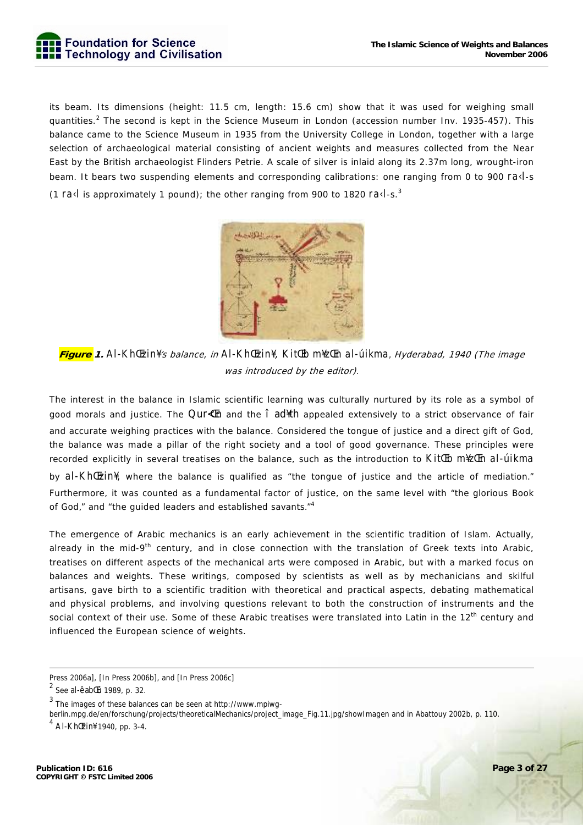

its beam. Its dimensions (height: 11.5 cm, length: 15.6 cm) show that it was used for weighing small quantities.<sup>2</sup> The second is kept in the Science Museum in London (accession number Inv. 1935-457). This balance came to the Science Museum in 1935 from the University College in London, together with a large selection of archaeological material consisting of ancient weights and measures collected from the Near East by the British archaeologist Flinders Petrie. A scale of silver is inlaid along its 2.37m long, wrought-iron beam. It bears two suspending elements and corresponding calibrations: one ranging from 0 to 900 *ra‹l*-s (1 *ra‹l* is approximately 1 pound); the other ranging from 900 to 1820 *ra‹l*-s.<sup>3</sup>



**Figure 1.** *Al-KhŒzin¥*'s balance, in *Al-KhŒzin¥*, *KitŒb m¥zŒn al-úikma,* Hyderabad, 1940 (The image was introduced by the editor)*.* 

The interest in the balance in Islamic scientific learning was culturally nurtured by its role as a symbol of good morals and justice. The Qur $\text{d}\text{F}$  and the  $\hat{\text{i}}$  ad<sup> $\text{d}\text{F}$ </sup> appealed extensively to a strict observance of fair and accurate weighing practices with the balance. Considered the tongue of justice and a direct gift of God, the balance was made a pillar of the right society and a tool of good governance. These principles were recorded explicitly in several treatises on the balance, such as the introduction to *KitŒb m¥zŒn al-úikma* by *al-KhŒzin¥*, where the balance is qualified as "the tongue of justice and the article of mediation." Furthermore, it was counted as a fundamental factor of justice, on the same level with "the glorious Book of God," and "the guided leaders and established savants."<sup>4</sup>

The emergence of Arabic mechanics is an early achievement in the scientific tradition of Islam. Actually, already in the mid-9<sup>th</sup> century, and in close connection with the translation of Greek texts into Arabic, treatises on different aspects of the mechanical arts were composed in Arabic, but with a marked focus on balances and weights. These writings, composed by scientists as well as by mechanicians and skilful artisans, gave birth to a scientific tradition with theoretical and practical aspects, debating mathematical and physical problems, and involving questions relevant to both the construction of instruments and the social context of their use. Some of these Arabic treatises were translated into Latin in the 12<sup>th</sup> century and influenced the European science of weights.

berlin.mpg.de/en/forschung/projects/theoreticalMechanics/project\_image\_Fig.11.jpg/showImagen and in Abattouy 2002b, p. 110.

Press 2006a], [In Press 2006b], and [In Press 2006c]

<sup>&</sup>lt;sup>2</sup> See al-êabŒú 1989, p. 32.

<sup>3</sup> The images of these balances can be seen at http://www.mpiwg-

<sup>4</sup> Al-KhŒzin¥ 1940, pp. 3-4.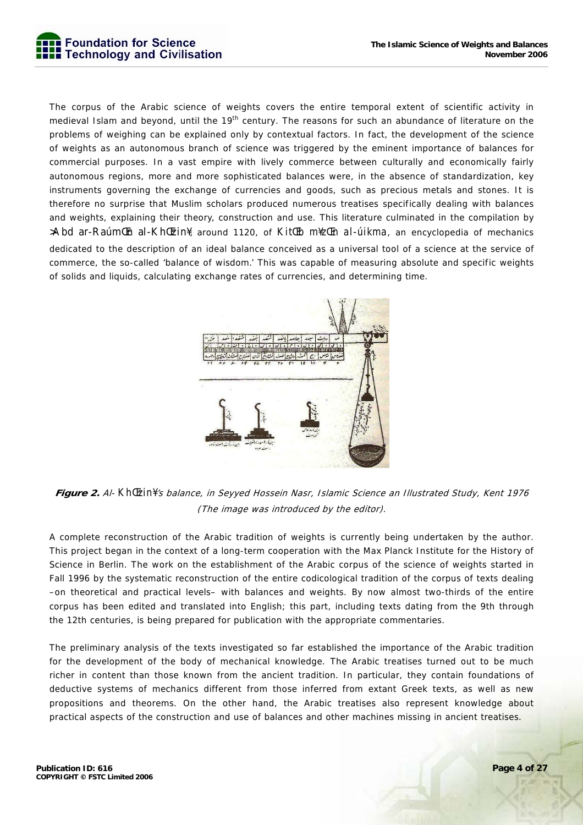

The corpus of the Arabic science of weights covers the entire temporal extent of scientific activity in medieval Islam and beyond, until the 19<sup>th</sup> century. The reasons for such an abundance of literature on the problems of weighing can be explained only by contextual factors. In fact, the development of the science of weights as an autonomous branch of science was triggered by the eminent importance of balances for commercial purposes. In a vast empire with lively commerce between culturally and economically fairly autonomous regions, more and more sophisticated balances were, in the absence of standardization, key instruments governing the exchange of currencies and goods, such as precious metals and stones. It is therefore no surprise that Muslim scholars produced numerous treatises specifically dealing with balances and weights, explaining their theory, construction and use. This literature culminated in the compilation by >Abd ar-RaúmŒn al-KhŒzin¥, around 1120, of *KitŒb m¥zŒn al-úikma*, an encyclopedia of mechanics dedicated to the description of an ideal balance conceived as a universal tool of a science at the service of commerce, the so-called 'balance of wisdom.' This was capable of measuring absolute and specific weights of solids and liquids, calculating exchange rates of currencies, and determining time.



**Figure 2.** Al- *KhŒzin¥*'s balance, in Seyyed Hossein Nasr, Islamic Science an Illustrated Study, Kent 1976 (The image was introduced by the editor).

A complete reconstruction of the Arabic tradition of weights is currently being undertaken by the author. This project began in the context of a long-term cooperation with the Max Planck Institute for the History of Science in Berlin. The work on the establishment of the Arabic corpus of the science of weights started in Fall 1996 by the systematic reconstruction of the entire codicological tradition of the corpus of texts dealing –on theoretical and practical levels– with balances and weights. By now almost two-thirds of the entire corpus has been edited and translated into English; this part, including texts dating from the 9th through the 12th centuries, is being prepared for publication with the appropriate commentaries.

The preliminary analysis of the texts investigated so far established the importance of the Arabic tradition for the development of the body of mechanical knowledge. The Arabic treatises turned out to be much richer in content than those known from the ancient tradition. In particular, they contain foundations of deductive systems of mechanics different from those inferred from extant Greek texts, as well as new propositions and theorems. On the other hand, the Arabic treatises also represent knowledge about practical aspects of the construction and use of balances and other machines missing in ancient treatises.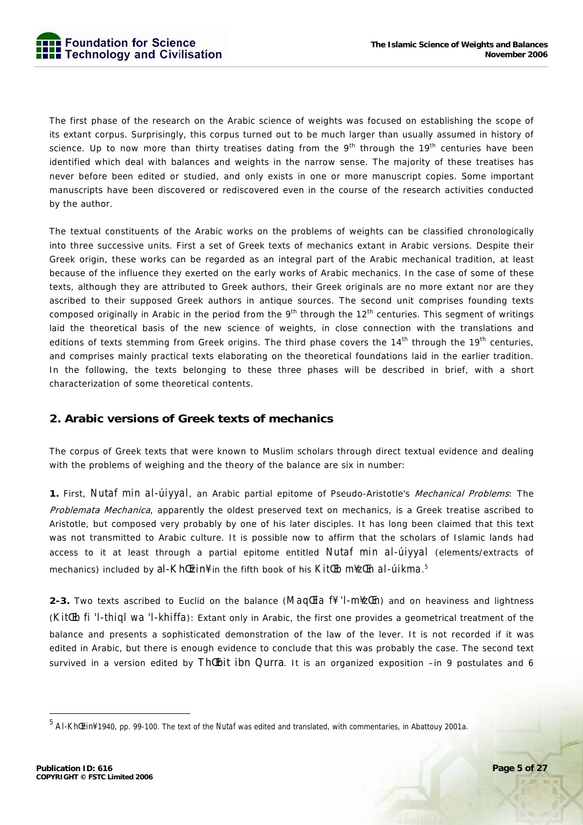The first phase of the research on the Arabic science of weights was focused on establishing the scope of its extant corpus. Surprisingly, this corpus turned out to be much larger than usually assumed in history of science. Up to now more than thirty treatises dating from the  $9<sup>th</sup>$  through the  $19<sup>th</sup>$  centuries have been identified which deal with balances and weights in the narrow sense. The majority of these treatises has never before been edited or studied, and only exists in one or more manuscript copies. Some important manuscripts have been discovered or rediscovered even in the course of the research activities conducted by the author.

The textual constituents of the Arabic works on the problems of weights can be classified chronologically into three successive units. First a set of Greek texts of mechanics extant in Arabic versions. Despite their Greek origin, these works can be regarded as an integral part of the Arabic mechanical tradition, at least because of the influence they exerted on the early works of Arabic mechanics. In the case of some of these texts, although they are attributed to Greek authors, their Greek originals are no more extant nor are they ascribed to their supposed Greek authors in antique sources. The second unit comprises founding texts composed originally in Arabic in the period from the 9<sup>th</sup> through the 12<sup>th</sup> centuries. This segment of writings laid the theoretical basis of the new science of weights, in close connection with the translations and editions of texts stemming from Greek origins. The third phase covers the  $14<sup>th</sup>$  through the  $19<sup>th</sup>$  centuries, and comprises mainly practical texts elaborating on the theoretical foundations laid in the earlier tradition. In the following, the texts belonging to these three phases will be described in brief, with a short characterization of some theoretical contents.

#### **2. Arabic versions of Greek texts of mechanics**

The corpus of Greek texts that were known to Muslim scholars through direct textual evidence and dealing with the problems of weighing and the theory of the balance are six in number:

**1.** First, *Nutaf min al-úiyyal*, an Arabic partial epitome of Pseudo-Aristotle's Mechanical Problems: The

Problemata Mechanica, apparently the oldest preserved text on mechanics, is a Greek treatise ascribed to Aristotle, but composed very probably by one of his later disciples. It has long been claimed that this text was not transmitted to Arabic culture. It is possible now to affirm that the scholars of Islamic lands had access to it at least through a partial epitome entitled *Nutaf min al-úiyyal* (elements/extracts of mechanics) included by al-KhŒzin¥ in the fifth book of his *KitŒb m¥zŒn al-úikma*. 5

**2-3.** Two texts ascribed to Euclid on the balance (*MaqŒla f¥ 'l-m¥zŒn*) and on heaviness and lightness (*KitŒb fi 'l-thiql wa 'l-khiffa*): Extant only in Arabic, the first one provides a geometrical treatment of the balance and presents a sophisticated demonstration of the law of the lever. It is not recorded if it was edited in Arabic, but there is enough evidence to conclude that this was probably the case. The second text survived in a version edited by Th Ebit ibn Qurra. It is an organized exposition –in 9 postulates and 6

<sup>5</sup> Al-KhŒzin¥ 1940, pp. 99-100. The text of the *Nutaf* was edited and translated, with commentaries, in Abattouy 2001a.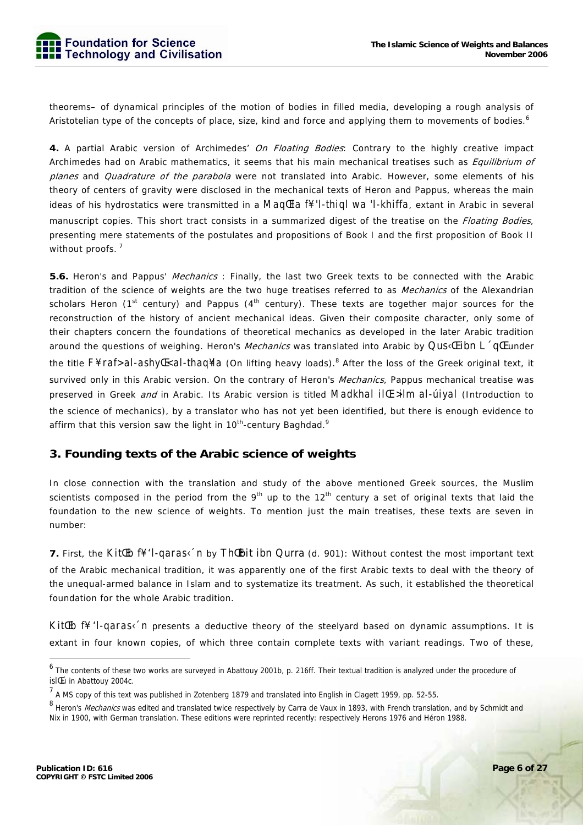

theorems– of dynamical principles of the motion of bodies in filled media, developing a rough analysis of Aristotelian type of the concepts of place, size, kind and force and applying them to movements of bodies.<sup>6</sup>

**4.** A partial Arabic version of Archimedes' On Floating Bodies: Contrary to the highly creative impact Archimedes had on Arabic mathematics, it seems that his main mechanical treatises such as *Equilibrium of* planes and *Quadrature of the parabola* were not translated into Arabic. However, some elements of his theory of centers of gravity were disclosed in the mechanical texts of Heron and Pappus, whereas the main ideas of his hydrostatics were transmitted in a *MaqŒla f¥ 'l-thiql wa 'l-khiffa*, extant in Arabic in several manuscript copies. This short tract consists in a summarized digest of the treatise on the *Floating Bodies*, presenting mere statements of the postulates and propositions of Book I and the first proposition of Book II without proofs.<sup>7</sup>

**5.6.** Heron's and Pappus' Mechanics : Finally, the last two Greek texts to be connected with the Arabic tradition of the science of weights are the two huge treatises referred to as *Mechanics* of the Alexandrian scholars Heron (1<sup>st</sup> century) and Pappus ( $4<sup>th</sup>$  century). These texts are together major sources for the reconstruction of the history of ancient mechanical ideas. Given their composite character, only some of their chapters concern the foundations of theoretical mechanics as developed in the later Arabic tradition around the questions of weighing. Heron's *Mechanics* was translated into Arabic by Qus $\epsilon$ E ibn L  $\epsilon$ q Eunder the title *F¥ raf> al-ashyŒ< al-thaq¥la* (On lifting heavy loads).<sup>8</sup> After the loss of the Greek original text, it survived only in this Arabic version. On the contrary of Heron's Mechanics, Pappus mechanical treatise was preserved in Greek and in Arabic. Its Arabic version is titled *Madkhal ilŒ >ilm al-úiyal* (Introduction to the science of mechanics), by a translator who has not yet been identified, but there is enough evidence to affirm that this version saw the light in  $10<sup>th</sup>$ -century Baghdad.<sup>9</sup>

#### **3. Founding texts of the Arabic science of weights**

In close connection with the translation and study of the above mentioned Greek sources, the Muslim scientists composed in the period from the 9<sup>th</sup> up to the 12<sup>th</sup> century a set of original texts that laid the foundation to the new science of weights. To mention just the main treatises, these texts are seven in number:

**7.** First, the *Kit Eb f¥ 'l-qaras* in by Th Ebit ibn Qurra (d. 901): Without contest the most important text of the Arabic mechanical tradition, it was apparently one of the first Arabic texts to deal with the theory of the unequal-armed balance in Islam and to systematize its treatment. As such, it established the theoretical foundation for the whole Arabic tradition.

*KitŒb f¥ 'l-qaras‹´n* presents a deductive theory of the steelyard based on dynamic assumptions. It is extant in four known copies, of which three contain complete texts with variant readings. Two of these,

<sup>&</sup>lt;sup>6</sup> The contents of these two works are surveyed in Abattouy 2001b, p. 216ff. Their textual tradition is analyzed under the procedure of *isl Eú* in Abattouy 2004c.

<sup>&</sup>lt;sup>7</sup> A MS copy of this text was published in Zotenberg 1879 and translated into English in Clagett 1959, pp. 52-55.

<sup>&</sup>lt;sup>8</sup> Heron's *Mechanics* was edited and translated twice respectively by Carra de Vaux in 1893, with French translation, and by Schmidt and Nix in 1900, with German translation. These editions were reprinted recently: respectively Herons 1976 and Héron 1988.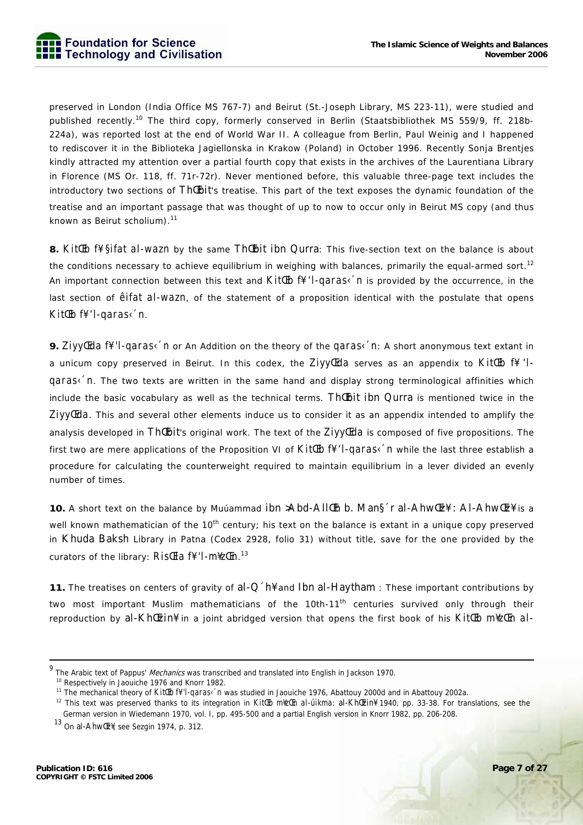

preserved in London (India Office MS 767-7) and Beirut (St.-Joseph Library, MS 223-11), were studied and published recently.10 The third copy, formerly conserved in Berlin (Staatsbibliothek MS 559/9, ff. 218b-224a), was reported lost at the end of World War II. A colleague from Berlin, Paul Weinig and I happened to rediscover it in the Biblioteka Jagiellonska in Krakow (Poland) in October 1996. Recently Sonja Brentjes kindly attracted my attention over a partial fourth copy that exists in the archives of the Laurentiana Library in Florence (MS Or. 118, ff. 71r-72r). Never mentioned before, this valuable three-page text includes the introductory two sections of Th@bit's treatise. This part of the text exposes the dynamic foundation of the treatise and an important passage that was thought of up to now to occur only in Beirut MS copy (and thus known as Beirut scholium).<sup>11</sup>

8. *Kit Eb f¥ §ifat al-wazn* by the same Th Ebit ibn Qurra: This five-section text on the balance is about the conditions necessary to achieve equilibrium in weighing with balances, primarily the equal-armed sort.<sup>12</sup> An important connection between this text and *KitŒb f¥ 'l-qaras‹´n* is provided by the occurrence, in the last section of *êifat al-wazn*, of the statement of a proposition identical with the postulate that opens *KitŒb f¥ 'l-qaras‹´n*.

**9.** *ZiyyŒda f¥ 'l-qaras‹´n* or An Addition on the theory of the *qaras‹´n*: A short anonymous text extant in a unicum copy preserved in Beirut. In this codex, the *ZiyyŒda* serves as an appendix to *KitŒb f¥ 'lqaras* in. The two texts are written in the same hand and display strong terminological affinities which include the basic vocabulary as well as the technical terms. The bit ibn Qurra is mentioned twice in the *ZiyyŒda*. This and several other elements induce us to consider it as an appendix intended to amplify the analysis developed in Th*Cubit's original work*. The text of the *ZiyyCda* is composed of five propositions. The first two are mere applications of the Proposition VI of *Kit LEb f¥ 'l-qaras< 'n* while the last three establish a procedure for calculating the counterweight required to maintain equilibrium in a lever divided an evenly number of times.

10. A short text on the balance by Muúammad ibn >Abd-AllCh b. Man§ r al-AhwCz¥ : Al-AhwCz¥ is a well known mathematician of the 10<sup>th</sup> century; his text on the balance is extant in a unique copy preserved in Khuda Baksh Library in Patna (Codex 2928, folio 31) without title, save for the one provided by the curators of the library: *RisŒla f¥ 'l-m¥zŒn*. 13

**11.** The treatises on centers of gravity of al-Q´h¥ and Ibn al-Haytham : These important contributions by two most important Muslim mathematicians of the 10th-11<sup>th</sup> centuries survived only through their reproduction by al-KhŒzin¥ in a joint abridged version that opens the first book of his *KitŒb m¥zŒn al-*

 <sup>9</sup> The Arabic text of Pappus' *Mechanics* was transcribed and translated into English in Jackson 1970.<br><sup>10</sup> Respectively in Jaouiche 1976 and Knorr 1982.

<sup>11</sup> The mechanical theory of *KitŒb f¥ 'l-qaras‹´n* was studied in Jaouiche 1976, Abattouy 2000d and in Abattouy 2002a.

<sup>12</sup> This text was preserved thanks to its integration in *KitŒb m¥zŒn al-úikma*: al-KhŒzin¥ 1940, pp. 33-38. For translations, see the German version in Wiedemann 1970, vol. I, pp. 495-500 and a partial English version in Knorr 1982, pp. 206-208.

13 On al-AhwŒz¥, see Sezgin 1974, p. 312.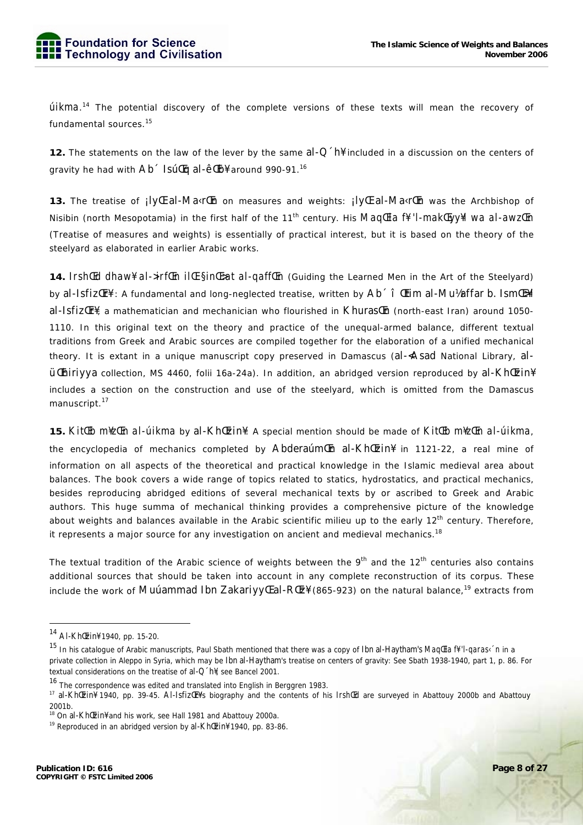*úlkma*.<sup>14</sup> The potential discovery of the complete versions of these texts will mean the recovery of fundamental sources.<sup>15</sup>

12. The statements on the law of the lever by the same  $al-Q'h\frac{2}{3}$  included in a discussion on the centers of gravity he had with Ab <a> Isú<br/>Eq al-ê<br/>Eb¥ around 990-91.16

13. The treatise of ily II al-MakrI on measures and weights: ily II al-MakrI h was the Archbishop of Nisibin (north Mesopotamia) in the first half of the 11<sup>th</sup> century. His Mag Ela f¥ 'l-mak Eyy¥l wa al-awz En (Treatise of measures and weights) is essentially of practical interest, but it is based on the theory of the steelvard as elaborated in earlier Arabic works.

14. Irshled dhaw¥ al->irflEn illE §inlE>at al-qafflEn (Guiding the Learned Men in the Art of the Steelyard) by al-Isfiz Er¥ : A fundamental and long-neglected treatise, written by Ab ^ î Etim al-Mulaffar b. Ism Expl al-Isfiz<sub>IIf</sub> a mathematician and mechanician who flourished in KhurasIn (north-east Iran) around 1050-1110. In this original text on the theory and practice of the unequal-armed balance, different textual traditions from Greek and Arabic sources are compiled together for the elaboration of a unified mechanical theory. It is extant in a unique manuscript copy preserved in Damascus (al-<Asad National Library, al-ÜllEhiriyya collection, MS 4460, folii 16a-24a). In addition, an abridged version reproduced by al-KhlEzin¥ includes a section on the construction and use of the steelyard, which is omitted from the Damascus manuscript.<sup>17</sup>

15. KitlEb m¥zlEn al-úikma by al-KhlEzin¥: A special mention should be made of KitlEb m¥zlEn al-úikma, the encyclopedia of mechanics completed by Abderaúm En al-Kh Ezin¥ in 1121-22, a real mine of information on all aspects of the theoretical and practical knowledge in the Islamic medieval area about balances. The book covers a wide range of topics related to statics, hydrostatics, and practical mechanics, besides reproducing abridged editions of several mechanical texts by or ascribed to Greek and Arabic authors. This huge summa of mechanical thinking provides a comprehensive picture of the knowledge about weights and balances available in the Arabic scientific milieu up to the early 12<sup>th</sup> century. Therefore,

The textual tradition of the Arabic science of weights between the 9<sup>th</sup> and the 12<sup>th</sup> centuries also contains additional sources that should be taken into account in any complete reconstruction of its corpus. These include the work of Muúammad Ibn Zakariyy Lal-RILZ¥ (865-923) on the natural balance,<sup>19</sup> extracts from

it represents a major source for any investigation on ancient and medieval mechanics.<sup>18</sup>

<sup>&</sup>lt;sup>14</sup> Al-Kh<sup>[[2]</sup>n<sup>¥</sup> 1940, pp. 15-20.

<sup>&</sup>lt;sup>15</sup> In his catalogue of Arabic manuscripts, Paul Sbath mentioned that there was a copy of Ibn al-Haytham's Maq Ela f¥ 'l-qaras< 'n in a private collection in Aleppo in Syria, which may be Ibn al-Haytham's treatise on centers of gravity: See Sbath 1938-1940, part 1, p. 86. For textual considerations on the treatise of al-O [h]. see Bancel 2001.

<sup>&</sup>lt;sup>16</sup> The correspondence was edited and translated into English in Berggren 1983.

<sup>17</sup> al-Khl[zin] 1940, pp. 39-45. Al-Isfiz[r]'s biography and the contents of his Irshl[d are surveyed in Abattouy 2000b and Abattouy  $2001h$ 

<sup>&</sup>lt;sup>18</sup> On al-KhlEzin<sup>¥</sup> and his work, see Hall 1981 and Abattouy 2000a.

<sup>&</sup>lt;sup>19</sup> Reproduced in an abridged version by al-Kh [zin<sup>¥</sup> 1940, pp. 83-86.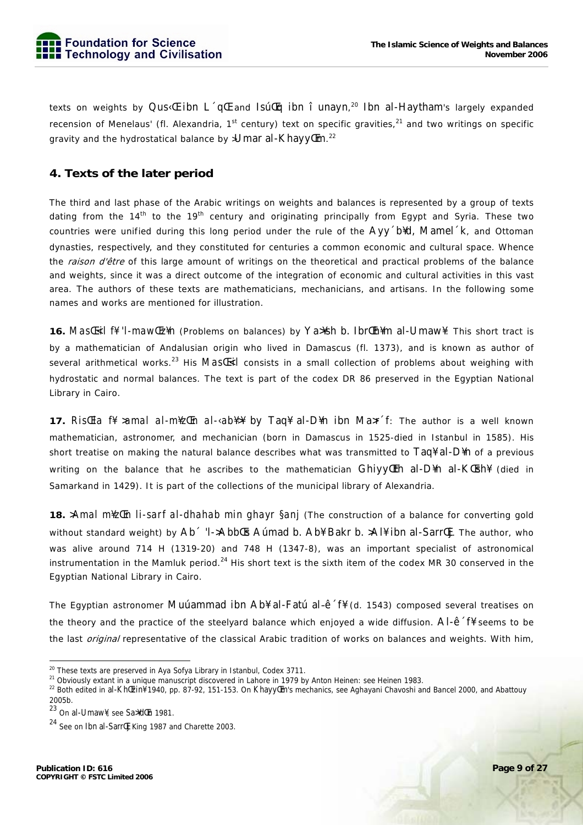texts on weights by Qus<E ibn L qE and IsutEq ibn i unayn,<sup>20</sup> Ibn al-Haytham's largely expanded recension of Menelaus' (fl. Alexandria, 1<sup>st</sup> century) text on specific gravities,<sup>21</sup> and two writings on specific gravity and the hydrostatical balance by >Umar al-Khayy Em.<sup>22</sup>

### 4. Texts of the later period

The third and last phase of the Arabic writings on weights and balances is represented by a group of texts dating from the 14<sup>th</sup> to the 19<sup>th</sup> century and originating principally from Egypt and Syria. These two countries were unified during this long period under the rule of the AVV b¥d, Mamel K, and Ottoman dynasties, respectively, and they constituted for centuries a common economic and cultural space. Whence the raison d'être of this large amount of writings on the theoretical and practical problems of the balance and weights, since it was a direct outcome of the integration of economic and cultural activities in this vast area. The authors of these texts are mathematicians, mechanicians, and artisans. In the following some names and works are mentioned for illustration.

16. Master of the T-maw Ezin (Problems on balances) by Yanship b. Ibrt Ehim al-Umaw . This short tract is by a mathematician of Andalusian origin who lived in Damascus (fl. 1373), and is known as author of several arithmetical works.<sup>23</sup> His *Masterical* consists in a small collection of problems about weighing with hydrostatic and normal balances. The text is part of the codex DR 86 preserved in the Egyptian National Library in Cairo.

17. Ristla ff > amal al-m\ztln al-<ab\times by Taq\t al-D\\times in Max f: The author is a well known mathematician, astronomer, and mechanician (born in Damascus in 1525-died in Istanbul in 1585). His short treatise on making the natural balance describes what was transmitted to Taq\ al-D\n of a previous writing on the balance that he ascribes to the mathematician Ghiyy (Ith al-D\{n al-K\{thesa} (died in Samarkand in 1429). It is part of the collections of the municipal library of Alexandria.

18. Amal mizten Ii-sarf al-dhahab min ghayr §anj (The construction of a balance for converting gold without standard weight) by Ab<sup>od</sup> 'I->Abbles Aumad b. Ab\ Bakr b. >Al\ ibn al-Sarrlli. The author, who was alive around 714 H (1319-20) and 748 H (1347-8), was an important specialist of astronomical instrumentation in the Mamluk period.<sup>24</sup> His short text is the sixth item of the codex MR 30 conserved in the Egyptian National Library in Cairo.

The Egyptian astronomer Muúammad ibn Ab¥ al-Fatú al-ê f¥ (d. 1543) composed several treatises on the theory and the practice of the steelyard balance which enjoyed a wide diffusion. Al-ê f# seems to be the last *original* representative of the classical Arabic tradition of works on balances and weights. With him,

<sup>&</sup>lt;sup>20</sup> These texts are preserved in Aya Sofya Library in Istanbul, Codex 3711.

<sup>&</sup>lt;sup>21</sup> Obviously extant in a unique manuscript discovered in Lahore in 1979 by Anton Heinen: see Heinen 1983.

<sup>&</sup>lt;sup>22</sup> Both edited in al-Khtzin¥ 1940, pp. 87-92, 151-153. On Khayytm's mechanics, see Aghayani Chavoshi and Bancel 2000, and Abattouy 2005b.

<sup>&</sup>lt;sup>23</sup> On al-Umaw¥, see Sa<sup>yd</sup> En 1981.

<sup>&</sup>lt;sup>24</sup> See on Ibn al-Sarr<sup>II</sup> King 1987 and Charette 2003.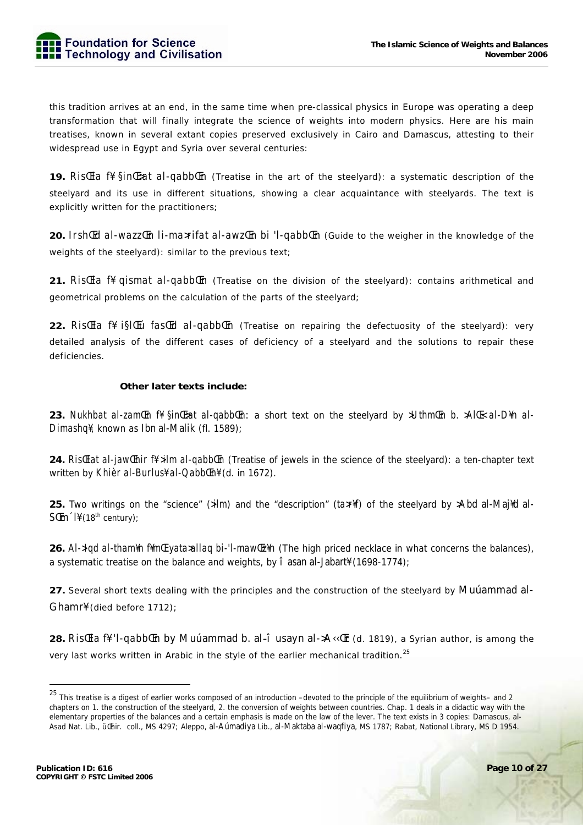

this tradition arrives at an end, in the same time when pre-classical physics in Europe was operating a deep transformation that will finally integrate the science of weights into modern physics. Here are his main treatises, known in several extant copies preserved exclusively in Cairo and Damascus, attesting to their widespread use in Eqypt and Syria over several centuries:

19. Risla ff find-at al-gabblen (Treatise in the art of the steelyard): a systematic description of the steelyard and its use in different situations, showing a clear acquaintance with steelyards. The text is explicitly written for the practitioners;

20. IrshlId al-wazzlIn li-ma>rifat al-awzlIn bi 'l-qabblIn (Guide to the weigher in the knowledge of the weights of the steelyard): similar to the previous text;

21. RistEla f¥ qismat al-qabbtEn (Treatise on the division of the steelyard): contains arithmetical and geometrical problems on the calculation of the parts of the steelyard;

22. RistEla f¥ i§ltEú fastEd al-qabblEn (Treatise on repairing the defectuosity of the steelyard): very detailed analysis of the different cases of deficiency of a steelyard and the solutions to repair these deficiencies.

#### Other later texts include:

23. Nukhbat al-zamlen ff sinlesat al-gabblen: a short text on the steelyard by >Uthmlen b. >Alle al-Dfn al-Dimashal, known as Ibn al-Malik (fl. 1589):

24. RistElat al-jawtEhir f¥ >ilm al-qabbtEn (Treatise of jewels in the science of the steelyard): a ten-chapter text written by Khièr al-Burlus¥ al-QabblEn¥ (d. in 1672).

25. Two writings on the "science" ( $\frac{sinm}{m}$  and the "description" ( $tan\pi$ ) of the steelyard by >Abd al-Maj<sup>y</sup>d al- $S\mathbb{E}m$   $\mathbb{I}$  (18<sup>th</sup> century);

26. Al->lgd al-tham\n f\m\le yata>allaq bi-'l-maw\le z\n (The high priced necklace in what concerns the balances), a systematic treatise on the balance and weights, by î asan al-Jabart¥ (1698-1774);

27. Several short texts dealing with the principles and the construction of the steelyard by Muuammad al-Ghamr¥ (died before 1712);

28. Risla ff 'l-qabblEn by Muúammad b. al-î usayn al->A<<a>A<<a>(d. 1819), a Syrian author, is among the very last works written in Arabic in the style of the earlier mechanical tradition.<sup>25</sup>

<sup>&</sup>lt;sup>25</sup> This treatise is a digest of earlier works composed of an introduction -devoted to the principle of the equilibrium of weights- and 2 chapters on 1, the construction of the steelyard, 2, the conversion of weights between countries. Chap, 1 deals in a didactic way with the elementary properties of the balances and a certain emphasis is made on the law of the lever. The text exists in 3 copies: Damascus, al-Asad Nat. Lib., uthir. coll., MS 4297; Aleppo, al-Aumadiya Lib., al-Maktaba al-waqfiya, MS 1787; Rabat, National Library, MS D 1954.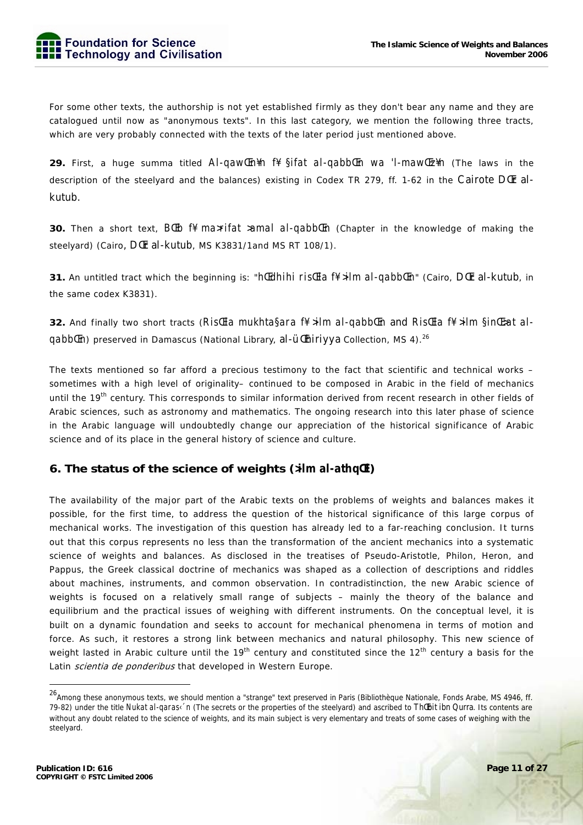

For some other texts, the authorship is not yet established firmly as they don't bear any name and they are catalogued until now as "anonymous texts". In this last category, we mention the following three tracts, which are very probably connected with the texts of the later period just mentioned above.

29. First, a huge summa titled AI-gaw Enin fi Sifat al-gabb En wa 'I-maw Ezin (The laws in the description of the steelyard and the balances) existing in Codex TR 279, ff. 1-62 in the Cairote DCEr alkutub.

**30.** Then a short text, BIEb f¥ ma>rifat >amal al-qabbIEn (Chapter in the knowledge of making the steelyard) (Cairo, DCIr al-kutub, MS K3831/1 and MS RT 108/1).

**31.** An untitled tract which the beginning is: "*htedhihi ristela ff >ilm al-qabbten*" (Cairo, Dter al-kutub, in the same codex K3831).

32. And finally two short tracts (Ristella mukhta§ara f¥ >ilm al-qabbtEn and RistEla f¥ >ilm §intE>at alaabblem preserved in Damascus (National Library, al-ülthiriyya Collection, MS 4).<sup>26</sup>

The texts mentioned so far afford a precious testimony to the fact that scientific and technical works sometimes with a high level of originality- continued to be composed in Arabic in the field of mechanics until the 19<sup>th</sup> century. This corresponds to similar information derived from recent research in other fields of Arabic sciences, such as astronomy and mathematics. The ongoing research into this later phase of science in the Arabic language will undoubtedly change our appreciation of the historical significance of Arabic science and of its place in the general history of science and culture.

### 6. The status of the science of weights (>ilm al-athqEl)

The availability of the maior part of the Arabic texts on the problems of weights and balances makes it possible, for the first time, to address the question of the historical significance of this large corpus of mechanical works. The investigation of this question has already led to a far-reaching conclusion. It turns out that this corpus represents no less than the transformation of the ancient mechanics into a systematic science of weights and balances. As disclosed in the treatises of Pseudo-Aristotle, Philon, Heron, and Pappus, the Greek classical doctrine of mechanics was shaped as a collection of descriptions and riddles about machines, instruments, and common observation. In contradistinction, the new Arabic science of weights is focused on a relatively small range of subjects – mainly the theory of the balance and equilibrium and the practical issues of weighing with different instruments. On the conceptual level, it is built on a dynamic foundation and seeks to account for mechanical phenomena in terms of motion and force. As such, it restores a strong link between mechanics and natural philosophy. This new science of weight lasted in Arabic culture until the 19<sup>th</sup> century and constituted since the 12<sup>th</sup> century a basis for the Latin scientia de ponderibus that developed in Western Europe.

<sup>&</sup>lt;sup>26</sup> Among these anonymous texts, we should mention a "strange" text preserved in Paris (Bibliothèque Nationale, Fonds Arabe, MS 4946, ff. 79-82) under the title Nukat al-garas< 'n (The secrets or the properties of the steelyard) and ascribed to Thebit ibn Qurra. Its contents are without any doubt related to the science of weights, and its main subject is very elementary and treats of some cases of weighing with the steelyard.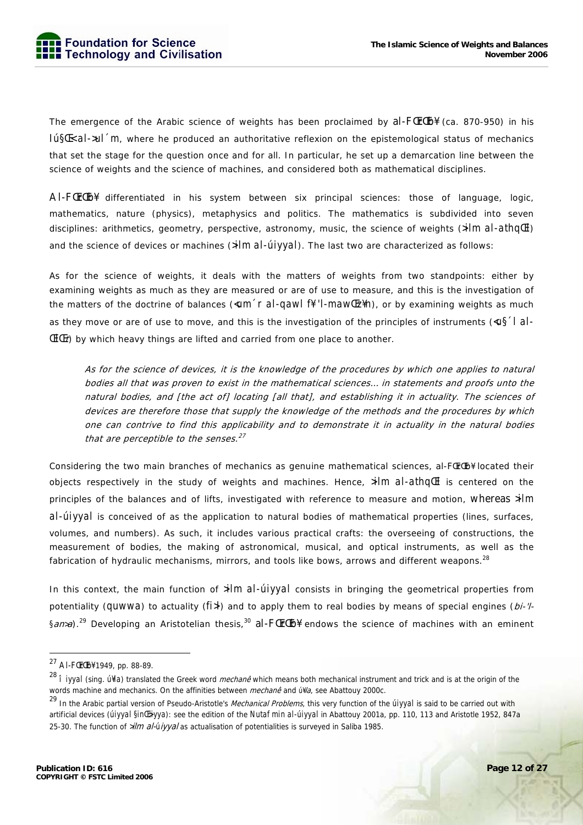The emergence of the Arabic science of weights has been proclaimed by al-FLErLEb¥ (ca. 870-950) in his *Iú§Œ< al->ul´m*, where he produced an authoritative reflexion on the epistemological status of mechanics that set the stage for the question once and for all. In particular, he set up a demarcation line between the science of weights and the science of machines, and considered both as mathematical disciplines.

Al-FŒrŒb¥ differentiated in his system between six principal sciences: those of language, logic, mathematics, nature (physics), metaphysics and politics. The mathematics is subdivided into seven disciplines: arithmetics, geometry, perspective, astronomy, music, the science of weights (*>ilm al-athqŒl*) and the science of devices or machines (*>ilm al-úiyyal*). The last two are characterized as follows:

As for the science of weights, it deals with the matters of weights from two standpoints: either by examining weights as much as they are measured or are of use to measure, and this is the investigation of the matters of the doctrine of balances (*<um´r al-qawl f¥ 'l-mawŒz¥n*), or by examining weights as much as they move or are of use to move, and this is the investigation of the principles of instruments (*<u§´l al-ŒlŒ*t) by which heavy things are lifted and carried from one place to another.

As for the science of devices, it is the knowledge of the procedures by which one applies to natural bodies all that was proven to exist in the mathematical sciences… in statements and proofs unto the natural bodies, and [the act of] locating [all that], and establishing it in actuality. The sciences of devices are therefore those that supply the knowledge of the methods and the procedures by which one can contrive to find this applicability and to demonstrate it in actuality in the natural bodies that are perceptible to the senses. $27$ 

Considering the two main branches of mechanics as genuine mathematical sciences, al-FCrCEb¥ located their objects respectively in the study of weights and machines. Hence, *>ilm al-athqŒl* is centered on the principles of the balances and of lifts, investigated with reference to measure and motion, whereas *>ilm al-úiyyal* is conceived of as the application to natural bodies of mathematical properties (lines, surfaces, volumes, and numbers). As such, it includes various practical crafts: the overseeing of constructions, the measurement of bodies, the making of astronomical, musical, and optical instruments, as well as the fabrication of hydraulic mechanisms, mirrors, and tools like bows, arrows and different weapons.<sup>28</sup>

In this context, the main function of *>ilm al-úiyyal* consists in bringing the geometrical properties from potentiality (*quwwa*) to actuality (*fi>l*) and to apply them to real bodies by means of special engines (*bi-'l-§*an*>*a).29 Developing an Aristotelian thesis,30 al-FŒrŒb¥ endows the science of machines with an eminent

<sup>27</sup> Al-FŒrŒb¥ 1949, pp. 88-89.

<sup>28</sup> *îiyyal* (sing. *ú¥la*) translated the Greek word mechanê which means both mechanical instrument and trick and is at the origin of the words machine and mechanics. On the affinities between mechanê and *ú¥*la, see Abattouy 2000c.

<sup>29</sup> In the Arabic partial version of Pseudo-Aristotle's Mechanical Problems, this very function of the *úiyyal* is said to be carried out with artificial devices (*úiyyal §inŒiyya*): see the edition of the *Nutaf min al-úiyyal* in Abattouy 2001a, pp. 110, 113 and Aristotle 1952, 847a 25-30. The function of *>*ilm al-*ú*iyyal as actualisation of potentialities is surveyed in Saliba 1985.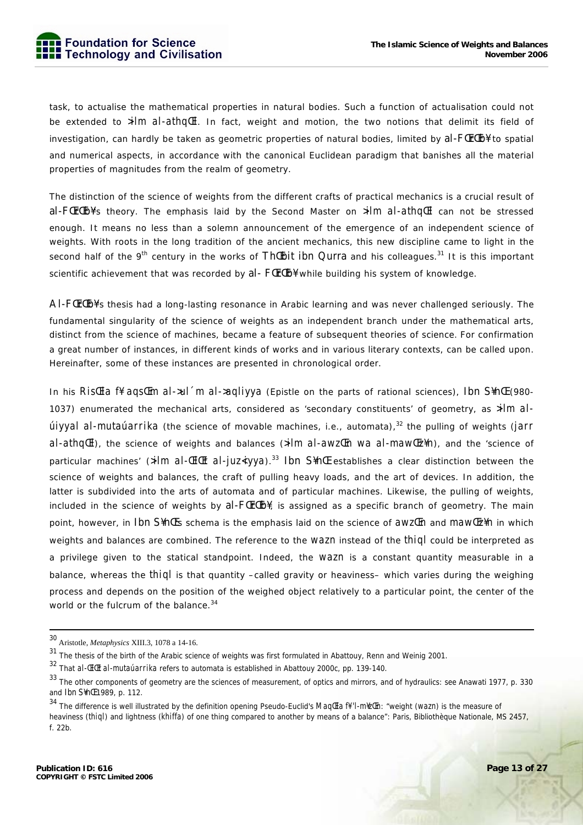task, to actualise the mathematical properties in natural bodies. Such a function of actualisation could not be extended to *>ilm al-athqŒl*. In fact, weight and motion, the two notions that delimit its field of investigation, can hardly be taken as geometric properties of natural bodies, limited by al-FCrCb¥ to spatial and numerical aspects, in accordance with the canonical Euclidean paradigm that banishes all the material properties of magnitudes from the realm of geometry.

The distinction of the science of weights from the different crafts of practical mechanics is a crucial result of al-FŒrŒb¥'s theory. The emphasis laid by the Second Master on *>ilm al-athqŒl* can not be stressed enough. It means no less than a solemn announcement of the emergence of an independent science of weights. With roots in the long tradition of the ancient mechanics, this new discipline came to light in the second half of the 9<sup>th</sup> century in the works of Th<sup>[[t]</sup> big Qurra and his colleagues.<sup>31</sup> It is this important scientific achievement that was recorded by al- FILTIED¥ while building his system of knowledge.

Al-FŒrŒb¥'s thesis had a long-lasting resonance in Arabic learning and was never challenged seriously. The fundamental singularity of the science of weights as an independent branch under the mathematical arts, distinct from the science of machines, became a feature of subsequent theories of science. For confirmation a great number of instances, in different kinds of works and in various literary contexts, can be called upon. Hereinafter, some of these instances are presented in chronological order.

In his *Ris Ela f¥ aqs Em al->ul 'm al->aqliyya* (Epistle on the parts of rational sciences), Ibn S¥n L (980-1037) enumerated the mechanical arts, considered as 'secondary constituents' of geometry, as *>ilm alúiyyal al-mutaúarrika* (the science of movable machines, i.e., automata),<sup>32</sup> the pulling of weights (*jarr al-athqŒl*), the science of weights and balances (*>ilm al-awzŒn wa al-mawŒz¥n*), and the 'science of particular machines' (*>ilm al-ŒlŒt al-juz<iyya*).<sup>33</sup> Ibn S¥nŒ establishes a clear distinction between the science of weights and balances, the craft of pulling heavy loads, and the art of devices. In addition, the latter is subdivided into the arts of automata and of particular machines. Likewise, the pulling of weights, included in the science of weights by  $al$ - $F$  $F$  $F$  $b$ <sup> $\downarrow$ </sup>, is assigned as a specific branch of geometry. The main point, however, in Ibn S¥nŒ's schema is the emphasis laid on the science of *awzŒn* and *mawŒz¥n* in which weights and balances are combined. The reference to the *wazn* instead of the *thiql* could be interpreted as a privilege given to the statical standpoint. Indeed, the *wazn* is a constant quantity measurable in a balance, whereas the *thiql* is that quantity –called gravity or heaviness– which varies during the weighing process and depends on the position of the weighed object relatively to a particular point, the center of the world or the fulcrum of the balance.<sup>34</sup>

 <sup>30</sup> Aristotle, *Metaphysics* XIII.3, 1078 a 14-16.

 $31$  The thesis of the birth of the Arabic science of weights was first formulated in Abattouy, Renn and Weinig 2001.

<sup>32</sup> That *al-ŒlŒt al-mutaúarrika* refers to automata is established in Abattouy 2000c, pp. 139-140.

<sup>&</sup>lt;sup>33</sup> The other components of geometry are the sciences of measurement, of optics and mirrors, and of hydraulics: see Anawati 1977, p. 330 and Ibn S¥nŒ 1989, p. 112.

<sup>34</sup> The difference is well illustrated by the definition opening Pseudo-Euclid's *MaqŒla f¥ 'l-m¥zŒn*: "weight (*wazn*) is the measure of heaviness (*thiql*) and lightness (*khiffa*) of one thing compared to another by means of a balance": Paris, Bibliothèque Nationale, MS 2457, f. 22b.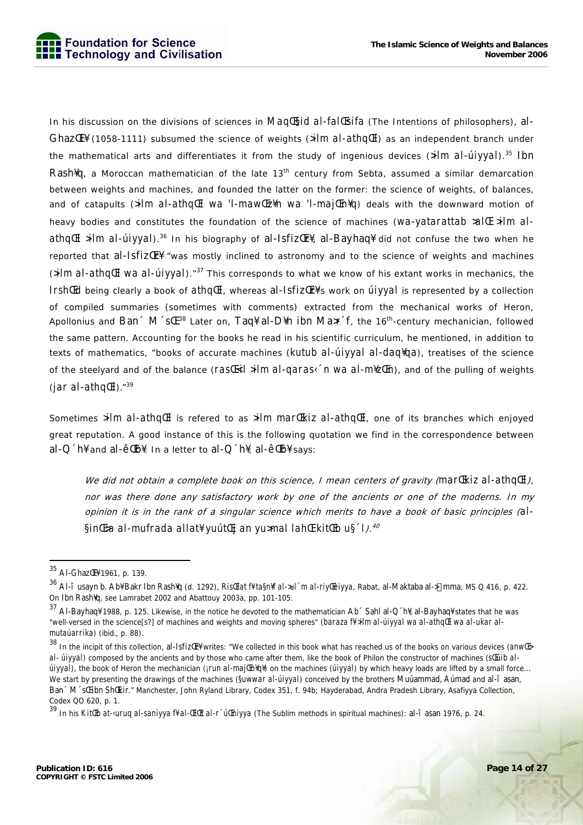In his discussion on the divisions of sciences in MagEsid al-falEsifa (The Intentions of philosophers), al-Ghaz $E[$  (1058-1111) subsumed the science of weights (>ilm al-athq $E$ ) as an independent branch under the mathematical arts and differentiates it from the study of ingenious devices  $(\frac{1}{m} a l - \frac{1}{w} a)^{35}$  Ibn Rash<sup>4</sup>g, a Moroccan mathematician of the late 13<sup>th</sup> century from Sebta, assumed a similar demarcation between weights and machines, and founded the latter on the former: the science of weights, of balances, and of catapults (>ilm al-athqCLI wa 'l-mawCz\n wa 'l-majCn\q' deals with the downward motion of heavy bodies and constitutes the foundation of the science of machines (*Wa-vatarattab >allE >ilm al*athqCl >ilm al-úiyyah.<sup>36</sup> In his biography of al-1sfizCr¥, al-Bayhaq¥ did not confuse the two when he reported that al-Isfiz Er<sup>¥</sup> "was mostly inclined to astronomy and to the science of weights and machines (>ilm al-athqlEl wa al-úiyyal)."<sup>37</sup> This corresponds to what we know of his extant works in mechanics, the IrshlEd being clearly a book of athqlEl, whereas al-IsfizlEr\'s work on *utivyal* is represented by a collection of compiled summaries (sometimes with comments) extracted from the mechanical works of Heron, Apollonius and Ban 
M 
SCE.<sup>38</sup> Later on, Taq¥ al-D¥n ibn Ma>r 
<sup>f</sup>, the 16<sup>th</sup>-century mechanician, followed the same pattern. Accounting for the books he read in his scientific curriculum, he mentioned, in addition to texts of mathematics, "books of accurate machines (kutub al-úiyyal al-daqlqa), treatises of the science of the steelyard and of the balance (rastell >ilm al-qaras in wa al-m\{zten}, and of the pulling of weights (jar al-athq*Eh*."<sup>39</sup>

Sometimes >ilm al-athql is refered to as >ilm marl Ekiz al-athql El, one of its branches which enjoyed great reputation. A good instance of this is the following guotation we find in the correspondence between al-Q 'h\ and al-ê[[b\}. In a letter to al-Q 'h\}, al-ê[[b\} says:

We did not obtain a complete book on this science, I mean centers of gravity (mar (Ekiz al-athq (EI), nor was there done any satisfactory work by one of the ancients or one of the moderns. In my opinion it is in the rank of a singular science which merits to have a book of basic principles (al-§inŒ>a al-mufrada allat¥ yuútŒj an yu>mal lahŒ kitŒb u§ 1).<sup>40</sup>

November 2006

<sup>35</sup> Al-Ghaz [H] 1961, p. 139.

<sup>&</sup>lt;sup>36</sup> Al-î usayn b. Ab¥ Bakr Ibn Rash¥q (d. 1292), *RisŒlat f¥ ta§n¥f al-xul ´m al-riyŒèiyya*, Rabat, al-Maktaba al-> mma, MS Q 416, p. 422. On Ibn Rash¥g, see Lamrabet 2002 and Abattouy 2003a, pp. 101-105.

<sup>37</sup> Al-Bayhaq¥ 1988, p. 125. Likewise, in the notice he devoted to the mathematician Ab ´Sahl al-Q ´h¥, al-Bayhaq¥ states that he was "well-versed in the science[s?] of machines and weights and moving spheres" (baraza f# >ilm al-uiyyal wa al-athq El wa al-ukar almutaúarrika) (ibid., p. 88).

<sup>&</sup>lt;sup>38</sup> In the incipit of this collection, al-1sfiz Er¥ writes: "We collected in this book what has reached us of the books on various devices (anw E> al- újvval) composed by the ancients and by those who came after them. like the book of Philon the constructor of machines (st uib al- $\hat{u}$ iyyal), the book of Heron the mechanician ( $\hat{u}$  /run al-maj $\hat{u}$ /re $\hat{q}$ }) on the machines ( $\hat{u}$ iyyal) by which heavy loads are lifted by a small force... We start by presenting the drawings of the machines (Suwwar al-ulyyal) conceived by the brothers Muuammad, Aumad and al-1 asan, Ban M St ibn Sh Ekir." Manchester, John Ryland Library, Codex 351, f. 94b; Hayderabad, Andra Pradesh Library, Asafiyya Collection, Codex QO 620, p. 1.

<sup>&</sup>lt;sup>39</sup> In his KitlEb at-arruq al-saniyya f# al-LEILEt al-r ´úlEniyya (The Sublim methods in spiritual machines): al-î asan 1976, p. 24.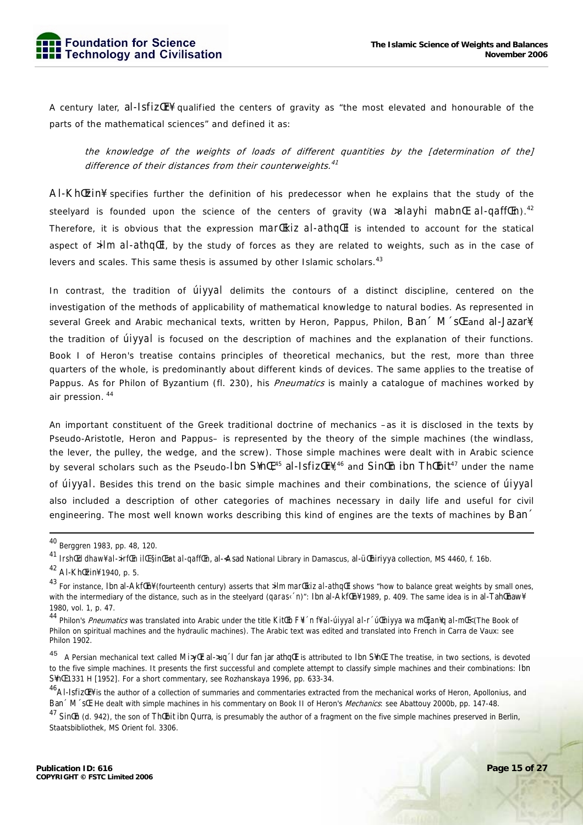A century later, al-IsfizŒr¥ qualified the centers of gravity as "the most elevated and honourable of the parts of the mathematical sciences" and defined it as:

the knowledge of the weights of loads of different quantities by the [determination of the] difference of their distances from their counterweights.<sup>41</sup>

Al-KhŒzin¥ specifies further the definition of his predecessor when he explains that the study of the steelyard is founded upon the science of the centers of gravity (*wa >alayhi mabnC al-qaffCn*).<sup>42</sup> Therefore, it is obvious that the expression *marŒkiz al-athqŒl* is intended to account for the statical aspect of *>ilm al-athqŒl*, by the study of forces as they are related to weights, such as in the case of levers and scales. This same thesis is assumed by other Islamic scholars.<sup>43</sup>

In contrast, the tradition of *úiyyal* delimits the contours of a distinct discipline, centered on the investigation of the methods of applicability of mathematical knowledge to natural bodies. As represented in several Greek and Arabic mechanical texts, written by Heron, Pappus, Philon, Ban M St and al-Jazar¥, the tradition of *úiyyal* is focused on the description of machines and the explanation of their functions. Book I of Heron's treatise contains principles of theoretical mechanics, but the rest, more than three quarters of the whole, is predominantly about different kinds of devices. The same applies to the treatise of Pappus. As for Philon of Byzantium (fl. 230), his *Pneumatics* is mainly a catalogue of machines worked by air pression.<sup>44</sup>

An important constituent of the Greek traditional doctrine of mechanics –as it is disclosed in the texts by Pseudo-Aristotle, Heron and Pappus– is represented by the theory of the simple machines (the windlass, the lever, the pulley, the wedge, and the screw). Those simple machines were dealt with in Arabic science by several scholars such as the Pseudo-Ibn  $\mathsf{S4nE},^{45}$  al-Isfiz $\mathsf{Er4}^{\prime\,46}$  and  $\mathsf{SinE}$ n ibn  $\mathsf{ThEbit}^{47}$  under the name of *úiyyal*. Besides this trend on the basic simple machines and their combinations, the science of *úiyyal* also included a description of other categories of machines necessary in daily life and useful for civil engineering. The most well known works describing this kind of engines are the texts of machines by Ban

 <sup>40</sup> Berggren 1983, pp. 48, 120.

<sup>41</sup> *IrshŒd dhaw¥ al->irfŒn ilŒ §inŒ>at al-qaffŒn*, al-<Asad National Library in Damascus, al-üŒhiriyya collection, MS 4460, f. 16b.

<sup>42</sup> Al-KhŒzin¥ 1940, p. 5.

<sup>43</sup> For instance, Ibn al-AkfCn¥ (fourteenth century) asserts that *>ilm marCkiz al-athqCl* shows "how to balance great weights by small ones, with the intermediary of the distance, such as in the steelyard (*qaras* n' to lone al-Akf(En¥ 1989, p. 409. The same idea is in al-Tah(Enaw¥ 1980, vol. 1, p. 47.

<sup>44</sup> Philon's Pneumatics was translated into Arabic under the title *KitŒb F¥l´n f¥ al-úiyyal al-r´úŒniyya wa mŒjan¥q al-mŒ<* (The Book of Philon on spiritual machines and the hydraulic machines). The Arabic text was edited and translated into French in Carra de Vaux: see Philon 1902.

<sup>45</sup> A Persian mechanical text called Mi>y<sup>[[</sup>r al->uq 1 dur fan jar athq<a>[l is attributed to Ibn S¥n</a>[f]. The treatise, in two sections, is devoted to the five simple machines. It presents the first successful and complete attempt to classify simple machines and their combinations: Ibn S¥n E 1331 H [1952]. For a short commentary, see Rozhanskaya 1996, pp. 633-34.

<sup>46</sup>Al-IsfizŒr¥ is the author of a collection of summaries and commentaries extracted from the mechanical works of Heron, Apollonius, and Ban<sup>\*</sup> M<sup>\*</sup>sC. He dealt with simple machines in his commentary on Book II of Heron's *Mechanics*: see Abattouy 2000b, pp. 147-48.

<sup>&</sup>lt;sup>47</sup> Sin<sup>[[n]</sup> (d. 942), the son of Th[[bit ibn Qurra, is presumably the author of a fragment on the five simple machines preserved in Berlin, Staatsbibliothek, MS Orient fol. 3306.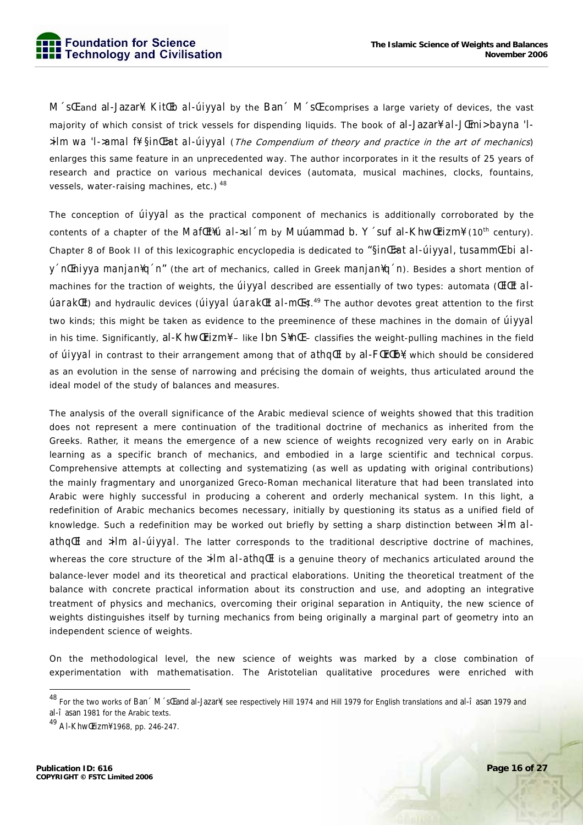M'sl and al-Jazar¥. KitlEb al-úiyyal by the Ban' M'sl comprises a large variety of devices, the vast majority of which consist of trick vessels for dispending liquids. The book of al-Jazar\{ al-J@mi> bayna 'l- $\lambda$ ilm wa 'I->amal f¥  $\sin E$ at al-úiyyal (The Compendium of theory and practice in the art of mechanics) enlarges this same feature in an unprecedented way. The author incorporates in it the results of 25 years of research and practice on various mechanical devices (automata, musical machines, clocks, fountains, vessels, water-raising machines, etc.) 48

The conception of *úiyyal* as the practical component of mechanics is additionally corroborated by the contents of a chapter of the Maf Et Hu al->ul m by Muuammad b. Y suf al-Khw Erizm<sup>{</sup> (10<sup>th</sup> century). Chapter 8 of Book II of this lexicographic encyclopedia is dedicated to "Sin E>at al-ulyyal, tusamm E bi aly 'n Enivya manjan<sup>y</sup>q 'n" (the art of mechanics, called in Greek manjan<sup>y</sup>q 'n). Besides a short mention of machines for the traction of weights, the *Úlyval* described are essentially of two types: automata (*EICt aI*úaraklEt) and hydraulic devices (úiyyal úaraklEt al-mlEs).<sup>49</sup> The author devotes great attention to the first two kinds; this might be taken as evidence to the preeminence of these machines in the domain of *úlyyal* in his time. Significantly,  $al$ -Khw $[Irizm4 - Iike Ibn S4nE - classifies the weight-pulling machines in the field$ of *úivyal* in contrast to their arrangement among that of *athqlEI* by al-FILTLED¥, which should be considered as an evolution in the sense of narrowing and précising the domain of weights, thus articulated around the ideal model of the study of balances and measures.

The analysis of the overall significance of the Arabic medieval science of weights showed that this tradition does not represent a mere continuation of the traditional doctrine of mechanics as inherited from the Greeks. Rather, it means the emergence of a new science of weights recognized very early on in Arabic learning as a specific branch of mechanics, and embodied in a large scientific and technical corpus. Comprehensive attempts at collecting and systematizing (as well as updating with original contributions) the mainly fragmentary and unorganized Greco-Roman mechanical literature that had been translated into Arabic were highly successful in producing a coherent and orderly mechanical system. In this light, a redefinition of Arabic mechanics becomes necessary, initially by questioning its status as a unified field of knowledge. Such a redefinition may be worked out briefly by setting a sharp distinction between *>ilm al*athall and  $\frac{sin(1)}{2}$  and  $\frac{sin(1)}{2}$ . The latter corresponds to the traditional descriptive doctrine of machines, whereas the core structure of the  $\frac{sin\theta}{dt}$  is a genuine theory of mechanics articulated around the balance-lever model and its theoretical and practical elaborations. Uniting the theoretical treatment of the balance with concrete practical information about its construction and use, and adopting an integrative treatment of physics and mechanics, overcoming their original separation in Antiquity, the new science of weights distinguishes itself by turning mechanics from being originally a marginal part of geometry into an independent science of weights.

On the methodological level, the new science of weights was marked by a close combination of experimentation with mathematisation. The Aristotelian qualitative procedures were enriched with

<sup>&</sup>lt;sup>48</sup> For the two works of Ban  $\tilde{M}$  st and al-Jazar¥, see respectively Hill 1974 and Hill 1979 for English translations and al-i asan 1979 and al-î asan 1981 for the Arabic texts.

<sup>&</sup>lt;sup>49</sup> Al-Khw(Frizm) 1968, pp. 246-247.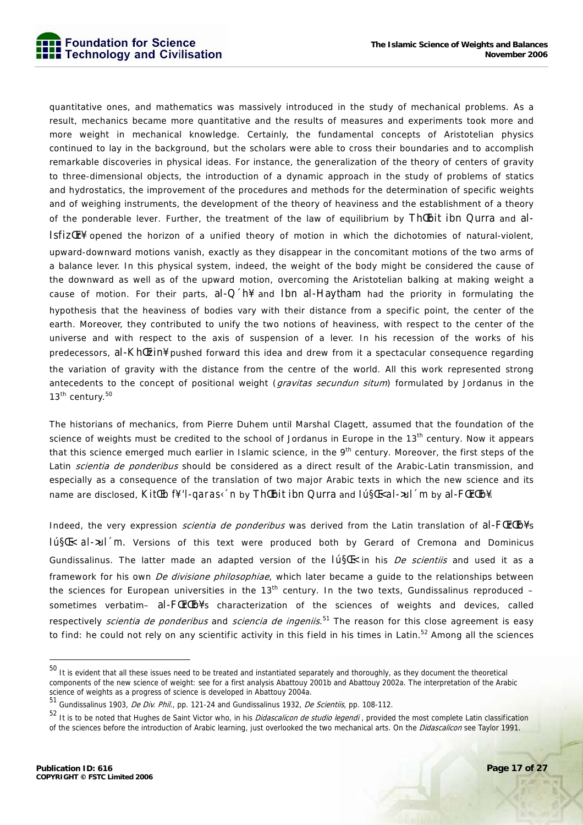

quantitative ones, and mathematics was massively introduced in the study of mechanical problems. As a result, mechanics became more quantitative and the results of measures and experiments took more and more weight in mechanical knowledge. Certainly, the fundamental concepts of Aristotelian physics continued to lay in the background, but the scholars were able to cross their boundaries and to accomplish remarkable discoveries in physical ideas. For instance, the generalization of the theory of centers of gravity to three-dimensional objects, the introduction of a dynamic approach in the study of problems of statics and hydrostatics, the improvement of the procedures and methods for the determination of specific weights and of weighing instruments, the development of the theory of heaviness and the establishment of a theory of the ponderable lever. Further, the treatment of the law of equilibrium by ThEbit ibn Qurra and al-IsfizŒr¥ opened the horizon of a unified theory of motion in which the dichotomies of natural-violent, upward-downward motions vanish, exactly as they disappear in the concomitant motions of the two arms of a balance lever. In this physical system, indeed, the weight of the body might be considered the cause of the downward as well as of the upward motion, overcoming the Aristotelian balking at making weight a cause of motion. For their parts, al-Q  $\hat{h}$  and Ibn al-Haytham had the priority in formulating the hypothesis that the heaviness of bodies vary with their distance from a specific point, the center of the earth. Moreover, they contributed to unify the two notions of heaviness, with respect to the center of the universe and with respect to the axis of suspension of a lever. In his recession of the works of his predecessors, al-Kh Ezin¥ pushed forward this idea and drew from it a spectacular consequence regarding the variation of gravity with the distance from the centre of the world. All this work represented strong antecedents to the concept of positional weight (gravitas secundun situm) formulated by Jordanus in the 13<sup>th</sup> century.<sup>50</sup>

The historians of mechanics, from Pierre Duhem until Marshal Clagett, assumed that the foundation of the science of weights must be credited to the school of Jordanus in Europe in the 13<sup>th</sup> century. Now it appears that this science emerged much earlier in Islamic science, in the 9<sup>th</sup> century. Moreover, the first steps of the Latin scientia de ponderibus should be considered as a direct result of the Arabic-Latin transmission, and especially as a consequence of the translation of two major Arabic texts in which the new science and its name are disclosed, *KitŒb f¥ 'l-qaras‹´n* by ThŒbit ibn Qurra and *Iú§Œ< al->ul´m* by al-FŒrŒb¥.

Indeed, the very expression *scientia de ponderibus* was derived from the Latin translation of al-FCrCb¥'s *Iú§Œ< al->ul´m*. Versions of this text were produced both by Gerard of Cremona and Dominicus Gundissalinus. The latter made an adapted version of the *Iú§Œ<* in his De scientiis and used it as a framework for his own *De divisione philosophiae*, which later became a quide to the relationships between the sciences for European universities in the  $13<sup>th</sup>$  century. In the two texts, Gundissalinus reproduced – sometimes verbatim- al-FLFTLb¥'s characterization of the sciences of weights and devices, called respectively *scientia de ponderibus* and *sciencia de ingeniis*.<sup>51</sup> The reason for this close agreement is easy to find: he could not rely on any scientific activity in this field in his times in Latin.<sup>52</sup> Among all the sciences

<sup>&</sup>lt;sup>50</sup> It is evident that all these issues need to be treated and instantiated separately and thoroughly, as they document the theoretical components of the new science of weight: see for a first analysis Abattouy 2001b and Abattouy 2002a. The interpretation of the Arabic science of weights as a progress of science is developed in Abattouy 2004a.

<sup>51</sup> Gundissalinus 1903, De Div. Phil., pp. 121-24 and Gundissalinus 1932, De Scientiis, pp. 108-112.

<sup>52</sup> It is to be noted that Hughes de Saint Victor who, in his *Didascalicon de studio legendi* , provided the most complete Latin classification of the sciences before the introduction of Arabic learning, just overlooked the two mechanical arts. On the Didascalicon see Taylor 1991.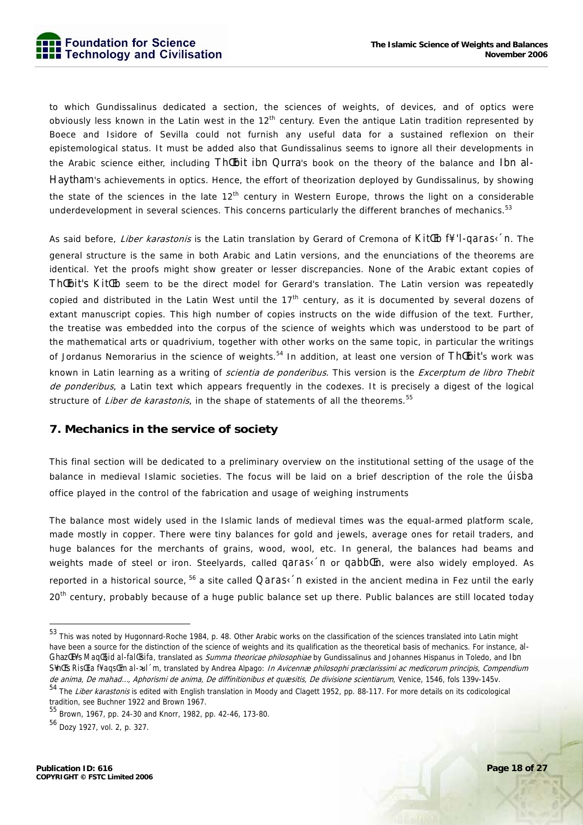to which Gundissalinus dedicated a section, the sciences of weights, of devices, and of optics were obviously less known in the Latin west in the 12<sup>th</sup> century. Even the antique Latin tradition represented by Boece and Isidore of Sevilla could not furnish any useful data for a sustained reflexion on their epistemological status. It must be added also that Gundissalinus seems to ignore all their developments in the Arabic science either, including Th Ebit ibn Qurra's book on the theory of the balance and Ibn al-Haytham's achievements in optics. Hence, the effort of theorization deployed by Gundissalinus, by showing the state of the sciences in the late  $12<sup>th</sup>$  century in Western Europe, throws the light on a considerable underdevelopment in several sciences. This concerns particularly the different branches of mechanics.<sup>53</sup>

As said before, Liber karastonis is the Latin translation by Gerard of Cremona of *KitŒb f¥ 'l-qaras‹´n*. The general structure is the same in both Arabic and Latin versions, and the enunciations of the theorems are identical. Yet the proofs might show greater or lesser discrepancies. None of the Arabic extant copies of Th Ebit's *Kit Eb* seem to be the direct model for Gerard's translation. The Latin version was repeatedly copied and distributed in the Latin West until the 17<sup>th</sup> century, as it is documented by several dozens of extant manuscript copies. This high number of copies instructs on the wide diffusion of the text. Further, the treatise was embedded into the corpus of the science of weights which was understood to be part of the mathematical arts or quadrivium, together with other works on the same topic, in particular the writings of Jordanus Nemorarius in the science of weights.<sup>54</sup> In addition, at least one version of Th*IEbit's work was* known in Latin learning as a writing of *scientia de ponderibus*. This version is the *Excerptum de libro Thebit* de ponderibus, a Latin text which appears frequently in the codexes. It is precisely a digest of the logical structure of Liber de karastonis, in the shape of statements of all the theorems.<sup>55</sup>

#### **7. Mechanics in the service of society**

This final section will be dedicated to a preliminary overview on the institutional setting of the usage of the balance in medieval Islamic societies. The focus will be laid on a brief description of the role the *úisba* office played in the control of the fabrication and usage of weighing instruments

The balance most widely used in the Islamic lands of medieval times was the equal-armed platform scale, made mostly in copper. There were tiny balances for gold and jewels, average ones for retail traders, and huge balances for the merchants of grains, wood, wool, etc. In general, the balances had beams and weights made of steel or iron. Steelyards, called *qaras* in or *qabblEn*, were also widely employed. As reported in a historical source, 56 a site called *Qaras‹´n* existed in the ancient medina in Fez until the early 20<sup>th</sup> century, probably because of a huge public balance set up there. Public balances are still located today

<sup>53</sup> This was noted by Hugonnard-Roche 1984, p. 48. Other Arabic works on the classification of the sciences translated into Latin might have been a source for the distinction of the science of weights and its qualification as the theoretical basis of mechanics. For instance, al-GhazŒl¥'s *MaqŒ§id al-falŒsifa*, translated as Summa theoricae philosophiae by Gundissalinus and Johannes Hispanus in Toledo, and Ibn S¥nŒ's *RisŒla f¥ aqsŒm al->ul´m*, translated by Andrea Alpago: In Avicennæ philosophi præclarissimi ac medicorum principis, Compendium de anima, De mahad..., Aphorismi de anima, De diffinitionibus et quæsitis, De divisione scientiarum, Venice, 1546, fols 139v-145v.

<sup>54</sup> The Liber karastonis is edited with English translation in Moody and Clagett 1952, pp. 88-117. For more details on its codicological tradition, see Buchner 1922 and Brown 1967.

<sup>55</sup> Brown, 1967, pp. 24-30 and Knorr, 1982, pp. 42-46, 173-80.

<sup>56</sup> Dozy 1927, vol. 2, p. 327.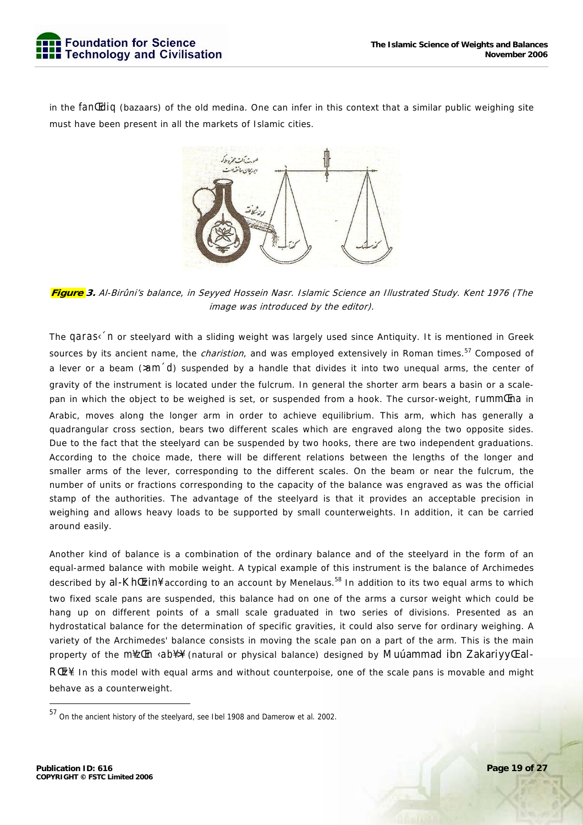

in the *fanŒdiq* (bazaars) of the old medina. One can infer in this context that a similar public weighing site must have been present in all the markets of Islamic cities.



**Figure 3.** Al-Birûni's balance, in Seyyed Hossein Nasr. Islamic Science an Illustrated Study. Kent 1976 (The image was introduced by the editor).

The *qaras* in or steelyard with a sliding weight was largely used since Antiquity. It is mentioned in Greek sources by its ancient name, the *charistion*, and was employed extensively in Roman times.<sup>57</sup> Composed of a lever or a beam (*>am´d*) suspended by a handle that divides it into two unequal arms, the center of gravity of the instrument is located under the fulcrum. In general the shorter arm bears a basin or a scalepan in which the object to be weighed is set, or suspended from a hook. The cursor-weight, *rummŒna* in Arabic, moves along the longer arm in order to achieve equilibrium. This arm, which has generally a quadrangular cross section, bears two different scales which are engraved along the two opposite sides. Due to the fact that the steelyard can be suspended by two hooks, there are two independent graduations. According to the choice made, there will be different relations between the lengths of the longer and smaller arms of the lever, corresponding to the different scales. On the beam or near the fulcrum, the number of units or fractions corresponding to the capacity of the balance was engraved as was the official stamp of the authorities. The advantage of the steelyard is that it provides an acceptable precision in weighing and allows heavy loads to be supported by small counterweights. In addition, it can be carried around easily.

Another kind of balance is a combination of the ordinary balance and of the steelyard in the form of an equal-armed balance with mobile weight. A typical example of this instrument is the balance of Archimedes described by al-Kh Ezin¥ according to an account by Menelaus.<sup>58</sup> In addition to its two equal arms to which two fixed scale pans are suspended, this balance had on one of the arms a cursor weight which could be hang up on different points of a small scale graduated in two series of divisions. Presented as an hydrostatical balance for the determination of specific gravities, it could also serve for ordinary weighing. A variety of the Archimedes' balance consists in moving the scale pan on a part of the arm. This is the main property of the *m¥zŒn ‹ab¥>¥* (natural or physical balance) designed by Muúammad ibn ZakariyyŒ al-RŒz¥. In this model with equal arms and without counterpoise, one of the scale pans is movable and might behave as a counterweight.

<sup>57</sup> On the ancient history of the steelyard, see Ibel 1908 and Damerow et al. 2002.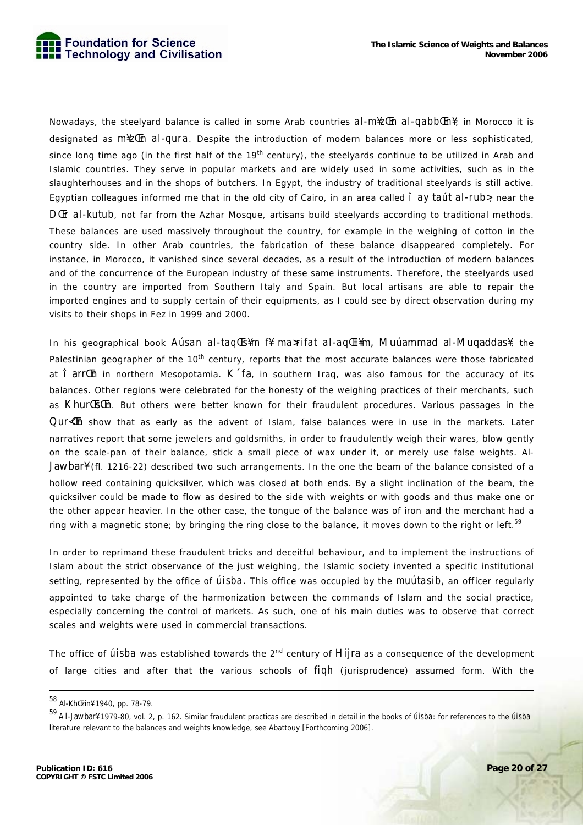

Nowadays, the steelyard balance is called in some Arab countries *al-m¥zŒn al-qabbŒn¥*; in Morocco it is designated as *m¥zŒn al-qura*. Despite the introduction of modern balances more or less sophisticated, since long time ago (in the first half of the 19<sup>th</sup> century), the steelyards continue to be utilized in Arab and Islamic countries. They serve in popular markets and are widely used in some activities, such as in the slaughterhouses and in the shops of butchers. In Egypt, the industry of traditional steelyards is still active. Egyptian colleagues informed me that in the old city of Cairo, in an area called  $\hat{I}$  ay taút al-rub>, near the *DŒr al-kutub*, not far from the Azhar Mosque, artisans build steelyards according to traditional methods. These balances are used massively throughout the country, for example in the weighing of cotton in the country side. In other Arab countries, the fabrication of these balance disappeared completely. For instance, in Morocco, it vanished since several decades, as a result of the introduction of modern balances and of the concurrence of the European industry of these same instruments. Therefore, the steelyards used in the country are imported from Southern Italy and Spain. But local artisans are able to repair the imported engines and to supply certain of their equipments, as I could see by direct observation during my visits to their shops in Fez in 1999 and 2000.

In his geographical book *Aúsan al-taqŒs¥m f¥ ma>rifat al-aqŒl¥m*, Muúammad al-Muqaddas¥, the Palestinian geographer of the 10<sup>th</sup> century, reports that the most accurate balances were those fabricated at î arr<sup>II</sup>n in northern Mesopotamia. K´fa, in southern Iraq, was also famous for the accuracy of its balances. Other regions were celebrated for the honesty of the weighing practices of their merchants, such as Khur [Es [In. But others were better known for their fraudulent procedures. Various passages in the Qur $\langle$ In show that as early as the advent of Islam, false balances were in use in the markets. Later narratives report that some jewelers and goldsmiths, in order to fraudulently weigh their wares, blow gently on the scale-pan of their balance, stick a small piece of wax under it, or merely use false weights. Al-Jawbar¥ (fl. 1216-22) described two such arrangements. In the one the beam of the balance consisted of a hollow reed containing quicksilver, which was closed at both ends. By a slight inclination of the beam, the quicksilver could be made to flow as desired to the side with weights or with goods and thus make one or the other appear heavier. In the other case, the tongue of the balance was of iron and the merchant had a ring with a magnetic stone; by bringing the ring close to the balance, it moves down to the right or left.<sup>59</sup>

In order to reprimand these fraudulent tricks and deceitful behaviour, and to implement the instructions of Islam about the strict observance of the just weighing, the Islamic society invented a specific institutional setting, represented by the office of *úisba*. This office was occupied by the *muútasib*, an officer regularly appointed to take charge of the harmonization between the commands of Islam and the social practice, especially concerning the control of markets. As such, one of his main duties was to observe that correct scales and weights were used in commercial transactions.

The office of *úisba* was established towards the 2<sup>nd</sup> century of Hijra as a consequence of the development of large cities and after that the various schools of *fiqh* (jurisprudence) assumed form. With the

 <sup>58</sup> Al-KhŒzin¥ 1940, pp. 78-79.

<sup>59</sup> Al-Jawbar¥ 1979-80, vol. 2, p. 162. Similar fraudulent practicas are described in detail in the books of *úisba*: for references to the *úisba*  literature relevant to the balances and weights knowledge, see Abattouy [Forthcoming 2006].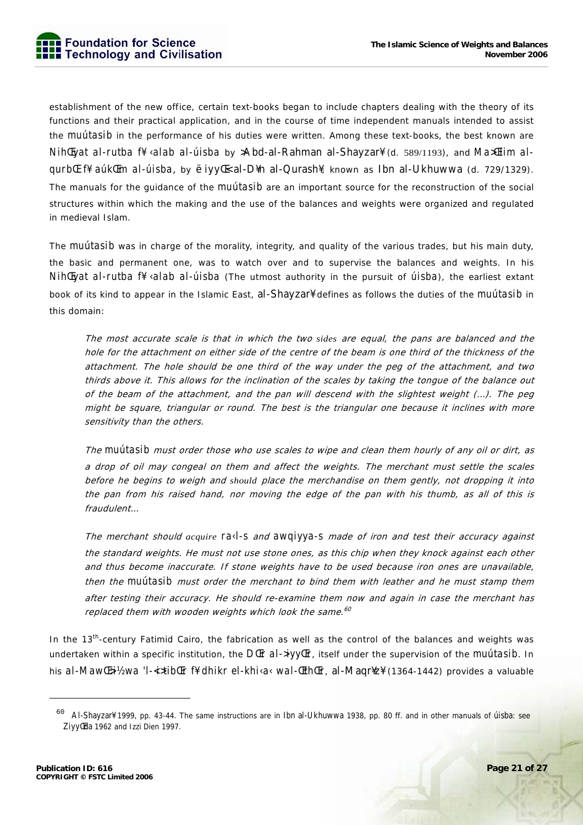establishment of the new office, certain text-books began to include chapters dealing with the theory of its functions and their practical application, and in the course of time independent manuals intended to assist the *muútasib* in the performance of his duties were written. Among these text-books, the best known are *NihŒyat al-rutba f¥ ‹alab al-úisba* by >Abd-al-Rahman al-Shayzar¥ (d. 589/1193), and *Ma>Œlim alqurbŒ f¥ aúkŒm al-úisba*, by ëiyyŒ< al-D¥n al-Qurash¥, known as Ibn al-Ukhuwwa (d. 729/1329). The manuals for the guidance of the *muútasib* are an important source for the reconstruction of the social structures within which the making and the use of the balances and weights were organized and regulated in medieval Islam.

The *muútasib* was in charge of the morality, integrity, and quality of the various trades, but his main duty, the basic and permanent one, was to watch over and to supervise the balances and weights. In his *NihŒyat al-rutba f¥ ‹alab al-úisba* (The utmost authority in the pursuit of *úisba*), the earliest extant book of its kind to appear in the Islamic East, al-Shayzar¥ defines as follows the duties of the *muútasib* in this domain:

The most accurate scale is that in which the two *sides* are equal, the pans are balanced and the hole for the attachment on either side of the centre of the beam is one third of the thickness of the attachment. The hole should be one third of the way under the peg of the attachment, and two thirds above it. This allows for the inclination of the scales by taking the tongue of the balance out of the beam of the attachment, and the pan will descend with the slightest weight (…). The peg might be square, triangular or round. The best is the triangular one because it inclines with more sensitivity than the others.

The *muútasib* must order those who use scales to wipe and clean them hourly of any oil or dirt, as a drop of oil may congeal on them and affect the weights. The merchant must settle the scales before he begins to weigh and *should* place the merchandise on them gently, not dropping it into the pan from his raised hand, nor moving the edge of the pan with his thumb, as all of this is fraudulent…

The merchant should *acquire ra‹l-s* and *awqiyya-s* made of iron and test their accuracy against the standard weights. He must not use stone ones, as this chip when they knock against each other and thus become inaccurate. If stone weights have to be used because iron ones are unavailable, then the *muútasib* must order the merchant to bind them with leather and he must stamp them after testing their accuracy. He should re-examine them now and again in case the merchant has replaced them with wooden weights which look the same. $60$ 

In the 13<sup>th</sup>-century Fatimid Cairo, the fabrication as well as the control of the balances and weights was undertaken within a specific institution, the *DCEr al->iyyCFr*, itself under the supervision of the *muútasib*. In his *al-MawŒ>i½ wa 'l-<i>tibŒr f¥ dhikr el-khi‹a‹ wal-ŒthŒr*, al-Maqr¥z¥ (1364-1442) provides a valuable

<sup>60</sup> Al-Shayzar¥ 1999, pp. 43-44. The same instructions are in Ibn al-Ukhuwwa 1938, pp. 80 ff. and in other manuals of úisba: see Ziyy<sup>[[da 1962 and Izzi Dien 1997.]</sup>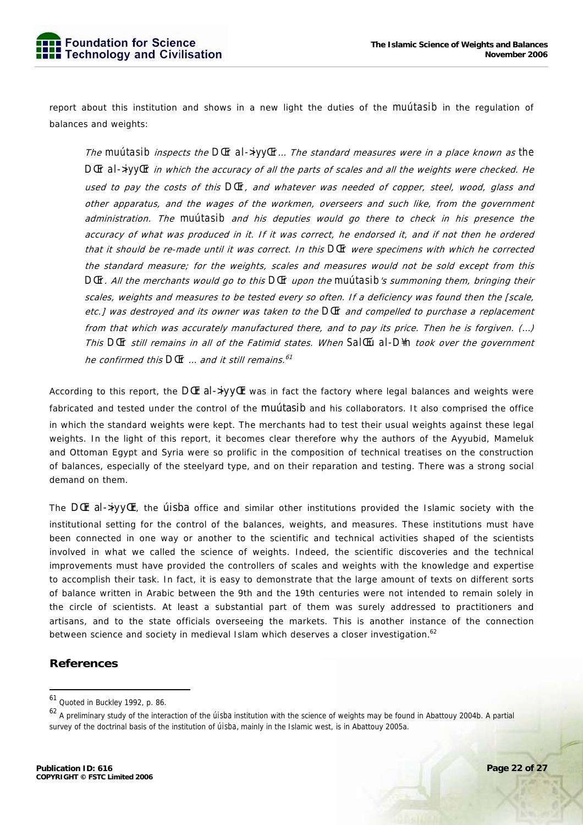report about this institution and shows in a new light the duties of the *muútasib* in the regulation of balances and weights:

The *muútasib* inspects the *DŒr al->iyyŒr*… The standard measures were in a place known as *the DŒr al->iyyŒr* in which the accuracy of all the parts of scales and all the weights were checked. He used to pay the costs of this *DŒr*, and whatever was needed of copper, steel, wood, glass and other apparatus, and the wages of the workmen, overseers and such like, from the government administration. The *muútasib* and his deputies would go there to check in his presence the accuracy of what was produced in it. If it was correct, he endorsed it, and if not then he ordered that it should be re-made until it was correct. In this *DŒr* were specimens with which he corrected the standard measure; for the weights, scales and measures would not be sold except from this *DŒr*. All the merchants would go to this *DŒr* upon the *muútasib*'s summoning them, bringing their scales, weights and measures to be tested every so often. If a deficiency was found then the [scale, etc.] was destroyed and its owner was taken to the *DŒr* and compelled to purchase a replacement from that which was accurately manufactured there, and to pay its price. Then he is forgiven. (…) This *DŒr* still remains in all of the Fatimid states. When *SalŒú al-D¥n* took over the government he confirmed this *DŒr* … and it still remains.<sup>61</sup>

According to this report, the DIEr al->iyyIEr was in fact the factory where legal balances and weights were fabricated and tested under the control of the muútasib and his collaborators. It also comprised the office in which the standard weights were kept. The merchants had to test their usual weights against these legal weights. In the light of this report, it becomes clear therefore why the authors of the Ayyubid, Mameluk and Ottoman Egypt and Syria were so prolific in the composition of technical treatises on the construction of balances, especially of the steelyard type, and on their reparation and testing. There was a strong social demand on them.

The DCI al->iyyCI, the ust of office and similar other institutions provided the Islamic society with the institutional setting for the control of the balances, weights, and measures. These institutions must have been connected in one way or another to the scientific and technical activities shaped of the scientists involved in what we called the science of weights. Indeed, the scientific discoveries and the technical improvements must have provided the controllers of scales and weights with the knowledge and expertise to accomplish their task. In fact, it is easy to demonstrate that the large amount of texts on different sorts of balance written in Arabic between the 9th and the 19th centuries were not intended to remain solely in the circle of scientists. At least a substantial part of them was surely addressed to practitioners and artisans, and to the state officials overseeing the markets. This is another instance of the connection between science and society in medieval Islam which deserves a closer investigation.<sup>62</sup>

#### **References**

<sup>61</sup> Quoted in Buckley 1992, p. 86.

<sup>62</sup> A preliminary study of the interaction of the *úisba* institution with the science of weights may be found in Abattouy 2004b. A partial survey of the doctrinal basis of the institution of *úisba*, mainly in the Islamic west, is in Abattouy 2005a.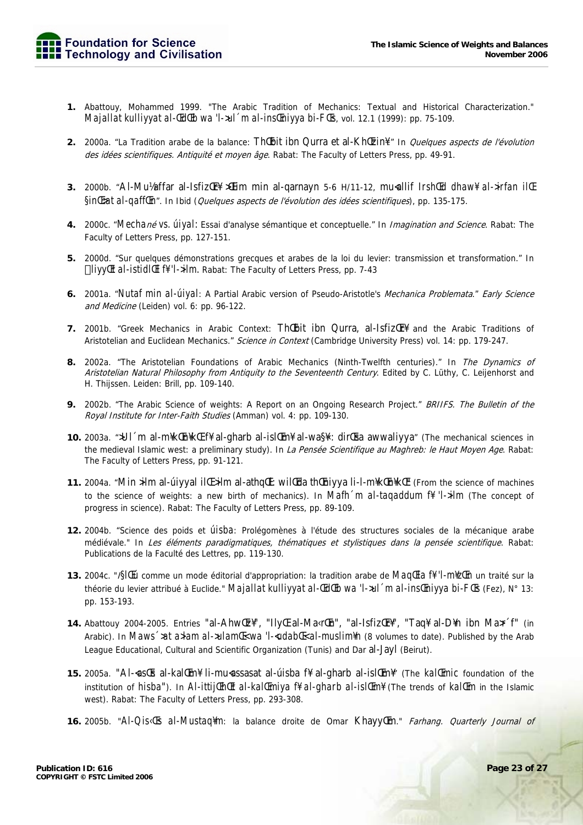

- 1. Abattouy, Mohammed 1999. "The Arabic Tradition of Mechanics: Textual and Historical Characterization." Majallat kulliyyat al-ŒdŒb wa 'l-xul ´m al-insŒniyya bi-FŒs, vol. 12.1 (1999): pp. 75-109.
- 2. 2000a. "La Tradition arabe de la balance: Thubit ibn Qurra et al-Khuzin<sup>¥</sup>." In *Quelques aspects de l'évolution* des idées scientifiques. Antiquité et moyen âge. Rabat: The Faculty of Letters Press, pp. 49-91.
- 3. 2000b. "Al-Mulaffar al-Isfiz Er¥ XIIim min al-qarnayn 5-6 H/11-12, muallif Irsh Ed dhaw¥ al->irfan il E  $\sin$ *E*>at al-qaff*(En*<sup> $\sin$ </sup>). In Ibid (Quelques aspects de l'évolution des idées scientifiques), pp. 135-175.
- 4. 2000c. "Mechané VS. úlyal: Essai d'analyse sémantique et conceptuelle." In Imagination and Science. Rabat: The Faculty of Letters Press, pp. 127-151.
- 5. 2000d. "Sur quelques démonstrations grecques et arabes de la loi du levier: transmission et transformation." In liyy/Et al-istidl/El f¥ 'l->ilm. Rabat: The Faculty of Letters Press, pp. 7-43
- 6. 2001a. "Nutaf min al-úiyal: A Partial Arabic version of Pseudo-Aristotle's Mechanica Problemata." Early Science and Medicine (Leiden) vol. 6: pp. 96-122.
- 7. 2001b. "Greek Mechanics in Arabic Context: Thebit ibn Qurra, al-1sfizer and the Arabic Traditions of Aristotelian and Euclidean Mechanics." Science in Context (Cambridge University Press) vol. 14: pp. 179-247.
- 8. 2002a. "The Aristotelian Foundations of Arabic Mechanics (Ninth-Twelfth centuries)." In The Dynamics of Aristotelian Natural Philosophy from Antiquity to the Seventeenth Century. Edited by C. Lüthy, C. Leijenhorst and H. Thijssen. Leiden: Brill, pp. 109-140.
- 9. 2002b. "The Arabic Science of weights: A Report on an Ongoing Research Project." BRIIFS. The Bulletin of the Royal Institute for Inter-Faith Studies (Amman) vol. 4: pp. 109-130.
- 10. 2003a. ">UI m al-m\ktEn\ktEn\ktE f\ al-qharb al-islEm\ al-wa\com{3}{\; dirtEsa awwaliyya" (The mechanical sciences in the medieval Islamic west: a preliminary study). In La Pensée Scientifique au Maghreb: le Haut Moyen Age. Rabat: The Faculty of Letters Press, pp. 91-121.
- 11. 2004a. "Min >ilm al-úiyyal il [ >ilm al-athq [[]: wil [[da th [[niyya li-l-m\k [[n] k[[n] (From the science of machines to the science of weights: a new birth of mechanics). In Mafh m al-tagaddum  $\beta$  'l->ilm (The concept of progress in science). Rabat: The Faculty of Letters Press, pp. 89-109.
- 12. 2004b. "Science des poids et *ÚÍSba*: Prolégomènes à l'étude des structures sociales de la mécanique arabe médiévale." In Les éléments paradigmatiques, thématiques et stylistiques dans la pensée scientifique. Rabat: Publications de la Faculté des Lettres, pp. 119-130.
- 13. 2004c. "ISIELÚ comme un mode éditorial d'appropriation: la tradition arabe de MagEla ff 'l-m¥zEn un traité sur la théorie du levier attribué à Euclide." *Majallat kulliyyat al-ŒdŒb wa 'l->ul 'm al-insŒniyya bi-FŒs* (Fez), N° 13: pp. 153-193.
- 14. Abattouy 2004-2005. Entries "al-Ahw Ez¥", "Ily E al-Ma «rEn", "al-Isfiz Er¥", "Taq¥ al-D¥n ibn Max f" (in Arabic). In Maws '>at a>lam al->ulamL wa 'l--udabL < al-muslim\n (8 volumes to date). Published by the Arab League Educational, Cultural and Scientific Organization (Tunis) and Dar al-Jayl (Beirut).
- 15. 2005a. "Al-astEs al-kaltEm¥ li-muassasat al-úisba f¥ al-gharb al-isltEm¥" (The kaltEmic foundation of the institution of *hisba*"). In *AI-ittij(Eh(Et aI-kal)(Emiya f¥ aI-gharb aI-is)(Em¥* (The trends of *kal*(Em in the Islamic west). Rabat: The Faculty of Letters Press, pp. 293-308.
- **16.** 2005b. "Al-Qis<Es al-Mustag\m: la balance droite de Omar Khayy Em." Farhang. Quarterly Journal of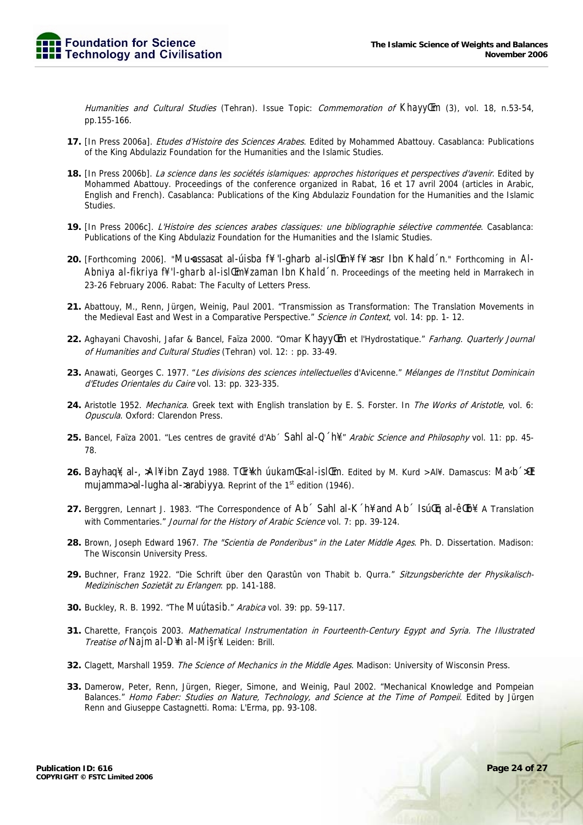Humanities and Cultural Studies (Tehran). Issue Topic: Commemoration of KhayylEm (3), vol. 18, n.53-54, pp.155-166.

- 17. [In Press 2006a]. Etudes d'Histoire des Sciences Arabes. Edited by Mohammed Abattouy. Casablanca: Publications of the King Abdulaziz Foundation for the Humanities and the Islamic Studies.
- 18. [In Press 2006b]. La science dans les sociétés islamiques: approches historiques et perspectives d'avenir. Edited by Mohammed Abattouy. Proceedings of the conference organized in Rabat, 16 et 17 avril 2004 (articles in Arabic, English and French). Casablanca: Publications of the King Abdulaziz Foundation for the Humanities and the Islamic Studies.
- 19. [In Press 2006c]. L'Histoire des sciences arabes classiques: une bibliographie sélective commentée. Casablanca: Publications of the King Abdulaziz Foundation for the Humanities and the Islamic Studies.
- 20. [Forthcoming 2006]. "Mu<assasat al-usiba f\lequity 1-gharb al-isl im \text{iff{\text{A}}\$ asset Ibn Khald 'n." Forthcoming in Al-Abniya al-fikriya f# 'l-gharb al-isl@m# zaman Ibn Khald 'n. Proceedings of the meeting held in Marrakech in 23-26 February 2006. Rabat: The Faculty of Letters Press.
- 21. Abattouy, M., Renn, Jürgen, Weinig, Paul 2001. "Transmission as Transformation: The Translation Movements in the Medieval East and West in a Comparative Perspective." Science in Context, vol. 14: pp. 1- 12.
- 22. Aghayani Chavoshi, Jafar & Bancel, Faïza 2000. "Omar Khayylm et l'Hydrostatique." Farhang. Quarterly Journal of Humanities and Cultural Studies (Tehran) vol. 12: : pp. 33-49.
- 23. Anawati, Georges C. 1977. "Les divisions des sciences intellectuelles d'Avicenne." Mélanges de l'Institut Dominicain d'Etudes Orientales du Caire vol. 13: pp. 323-335.
- 24. Aristotle 1952. Mechanica. Greek text with English translation by E. S. Forster. In The Works of Aristotle, vol. 6: Opuscula. Oxford: Clarendon Press.
- 25. Bancel, Faïza 2001. "Les centres de gravité d'Ab ´ Sahl al-Q ´h\\" Arabic Science and Philosophy vol. 11: pp. 45-78
- 26. Bayhaq¥, al-, >Al¥ ibn Zayd 1988. TŒr¥kh úukamŒ< al-islŒm. Edited by M. Kurd >Al¥. Damascus: Ma<br/>kb >Alt mujamma> al-lugha al->arabiyya. Reprint of the 1<sup>st</sup> edition (1946).
- 27. Berggren, Lennart J. 1983. "The Correspondence of Ab Sahl al-K h¥ and Ab Sullg al-êl b¥. A Translation with Commentaries." Journal for the History of Arabic Science vol. 7: pp. 39-124.
- 28. Brown, Joseph Edward 1967. The "Scientia de Ponderibus" in the Later Middle Ages. Ph. D. Dissertation. Madison: The Wisconsin University Press.
- 29. Buchner, Franz 1922. "Die Schrift über den Qarastûn von Thabit b. Qurra." Sitzungsberichte der Physikalisch-Medizinischen Sozietät zu Erlangen: pp. 141-188.
- **30.** Buckley, R. B. 1992. "The *Muútasib." Arabica* vol. 39: pp. 59-117.
- 31. Charette, François 2003. Mathematical Instrumentation in Fourteenth-Century Egypt and Syria. The Illustrated Treatise of Najm al-D¥n al-Mi§r¥. Leiden: Brill.
- 32. Clagett, Marshall 1959. The Science of Mechanics in the Middle Ages. Madison: University of Wisconsin Press.
- 33. Damerow, Peter, Renn, Jürgen, Rieger, Simone, and Weinig, Paul 2002. "Mechanical Knowledge and Pompeian Balances." Homo Faber: Studies on Nature, Technology, and Science at the Time of Pompeii. Edited by Jürgen Renn and Giuseppe Castagnetti. Roma: L'Erma, pp. 93-108.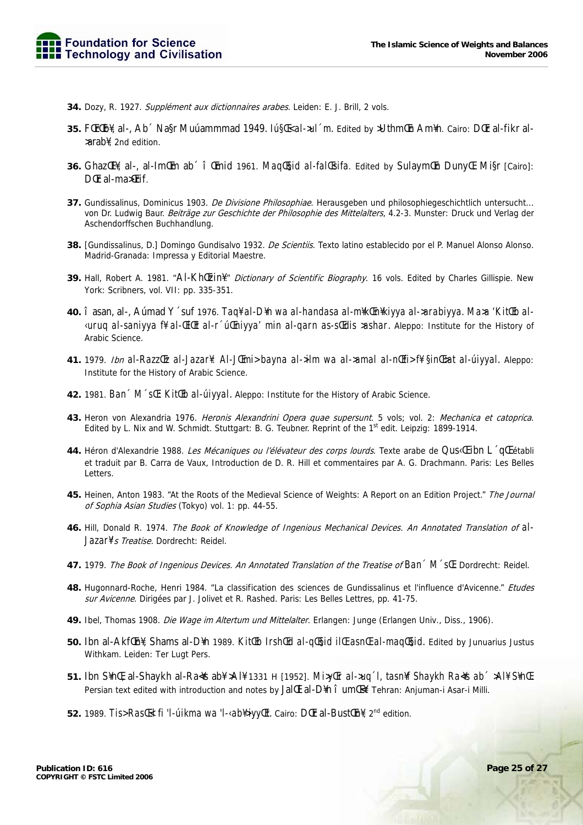- 34. Dozy, R. 1927. Supplément aux dictionnaires arabes. Leiden: E. J. Brill, 2 vols.
- 35. FCIrCD¥, al-, Ab Magr Muuammmad 1949. *IugC al->ul 'm*. Edited by >UthmCn Am¥n. Cairo: DCF al-fikr al->arab\{2nd edition.
- 36. Ghaz El¥, al-, al-Im Em ab î Emid 1961. Mag Esid al-fal Esifa. Edited by Sulaym En Duny E. Mi§r [Cairo]: DFr al-maxFrif.
- 37. Gundissalinus, Dominicus 1903. De Divisione Philosophiae. Herausgeben und philosophiegeschichtlich untersucht... von Dr. Ludwig Baur. Beiträge zur Geschichte der Philosophie des Mittelalters, 4.2-3. Munster: Druck und Verlag der Aschendorffschen Buchhandlung.
- 38. [Gundissalinus, D.] Domingo Gundisalvo 1932. De Scientiis. Texto latino establecido por el P. Manuel Alonso Alonso. Madrid-Granada: Impressa y Editorial Maestre.
- 39. Hall, Robert A. 1981. "Al-Khl[zin]!." Dictionary of Scientific Biography. 16 vols. Edited by Charles Gillispie. New York: Scribners, vol. VII: pp. 335-351.
- 40. î asan, al-, Aúmad Y ´suf 1976. Taq¥ al-D¥n wa al-handasa al-m¥kEn¥kiyya al->arabiyya. Ma>a 'KitŒb al-«uruq al-saniyya f# al-ŒlŒt al-r ´úŒniyya' min al-qarn as-sŒdis >ashar. Aleppo: Institute for the History of Arabic Science.
- 41. 1979. Ibn al-Razzltz al-Jazar¥: Al-JlEmi> bayna al->ilm wa al->amal al-nlEfi> f¥ §inlE>at al-uiyyal. Aleppo: Institute for the History of Arabic Science.
- 42. 1981. Ban ' M 'sl': KitlEb al-ulyyal. Aleppo: Institute for the History of Arabic Science.
- 43. Heron von Alexandria 1976. Heronis Alexandrini Opera quae supersunt. 5 vols; vol. 2: Mechanica et catoprica. Edited by L. Nix and W. Schmidt. Stuttgart: B. G. Teubner. Reprint of the 1st edit. Leipzig: 1899-1914.
- 44. Héron d'Alexandrie 1988. Les Mécaniques ou l'élévateur des corps lourds. Texte arabe de Qus«[ ibn L ´q[[ établi et traduit par B. Carra de Vaux, Introduction de D. R. Hill et commentaires par A. G. Drachmann. Paris: Les Belles Letters.
- 45. Heinen, Anton 1983. "At the Roots of the Medieval Science of Weights: A Report on an Edition Project." The Journal of Sophia Asian Studies (Tokyo) vol. 1: pp. 44-55.
- 46. Hill, Donald R. 1974. The Book of Knowledge of Ingenious Mechanical Devices. An Annotated Translation of al-Jazar¥'s Treatise. Dordrecht: Reidel.
- 47. 1979. The Book of Ingenious Devices. An Annotated Translation of the Treatise of Ban M s.E. Dordrecht: Reidel.
- 48. Hugonnard-Roche, Henri 1984. "La classification des sciences de Gundissalinus et l'influence d'Avicenne." Etudes sur Avicenne. Dirigées par J. Jolivet et R. Rashed. Paris: Les Belles Lettres, pp. 41-75.
- 49. Ibel, Thomas 1908. Die Wage im Altertum und Mittelalter. Erlangen: Junge (Erlangen Univ., Diss., 1906).
- 50. Ibn al-Akf[In¥, Shams al-D¥n 1989. Kit[Ib Irsh[Id al-q[Isid il[I asn[I al-maq[Isid. Edited by Junuarius Justus Withkam. Leiden: Ter Lugt Pers.
- 51. Ibn S¥nŒ, al-Shaykh al-Ra4s ab¥ >Al¥ 1331 H [1952]. Mi>yŒr al->uq 'l, tasn¥f Shaykh Ra4s ab < >Al¥ S¥nŒ. Persian text edited with introduction and notes by Jal [1] al-D\n î um [4]. Tehran: Anjuman-i Asar-i Milli.
- 52. 1989. Tis>RastEd fi 'l-úikma wa 'l-<ab\}jyylEt. Cairo: DtEr al-BusttEn\}, 2<sup>nd</sup> edition.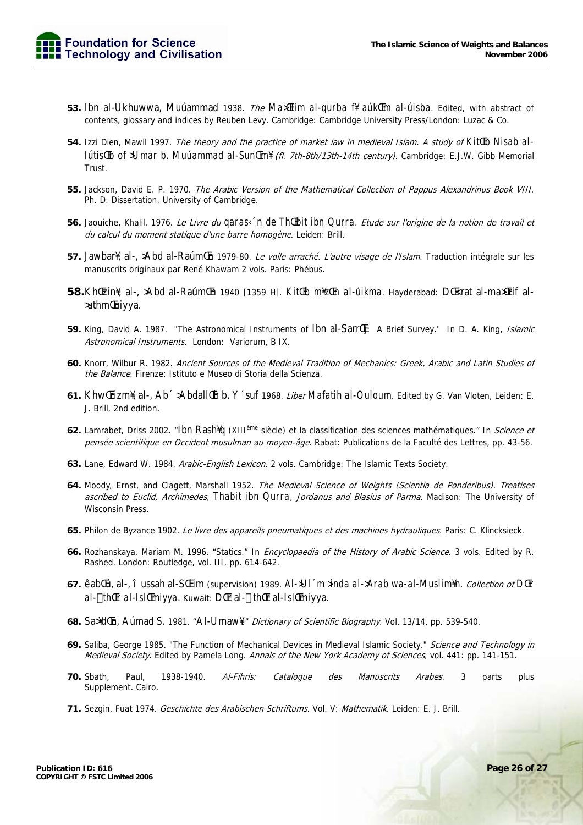- 53. Ibn al-Ukhuwwa, Muúammad 1938. The MaxTiim al-qurba ff aúkTm al-úisba. Edited, with abstract of contents, glossary and indices by Reuben Levy. Cambridge: Cambridge University Press/London: Luzac & Co.
- 54. Izzi Dien, Mawil 1997. The theory and the practice of market law in medieval Islam. A study of KitlEb Nisab allútisŒb of >Umar b. Muúammad al-SunŒm¥ (fl. 7th-8th/13th-14th century). Cambridge: E.J.W. Gibb Memorial Trust
- 55. Jackson, David E. P. 1970. The Arabic Version of the Mathematical Collection of Pappus Alexandrinus Book VIII. Ph. D. Dissertation. University of Cambridge.
- 56. Jaouiche, Khalil. 1976. Le Livre du garas< 'n de ThŒbit ibn Qurra. Etude sur l'origine de la notion de travail et du calcul du moment statique d'une barre homogène. Leiden: Brill.
- 57. Jawbar¥, al-, >Abd al-Raúm (En 1979-80. Le voile arraché. L'autre visage de l'Islam. Traduction intégrale sur les manuscrits originaux par René Khawam 2 vols. Paris: Phébus.
- 58. Khl[zin¥, al-, >Abd al-Raúml[n 1940 [1359 H]. Kitl[b m¥zl[n al-úikma. Hayderabad: Dl[<irat al-maxl[rif al->uthm<br>
Inivya.
- 59. King, David A. 1987. "The Astronomical Instruments of Ibn al-SarrCi: A Brief Survey." In D. A. King, *Islamic* Astronomical Instruments. London: Variorum, B IX.
- 60. Knorr, Wilbur R. 1982. Ancient Sources of the Medieval Tradition of Mechanics: Greek, Arabic and Latin Studies of the Balance. Firenze: Istituto e Museo di Storia della Scienza.
- 61. Khw (Frizm), al-, Ab<sup>-</sup> >Abdall (Fh b. Y suf 1968. *Liber Mafatih al-Ouloum*. Edited by G. Van Vloten, Leiden: E. J. Brill, 2nd edition.
- 62. Lamrabet, Driss 2002. "Ibn Rash¥q (XIII<sup>ème</sup> siècle) et la classification des sciences mathématiques." In Science et pensée scientifique en Occident musulman au moyen-âge. Rabat: Publications de la Faculté des Lettres, pp. 43-56.
- 63. Lane, Edward W. 1984. Arabic-English Lexicon. 2 vols. Cambridge: The Islamic Texts Society.
- 64. Moody, Ernst, and Clagett, Marshall 1952. The Medieval Science of Weights (Scientia de Ponderibus). Treatises ascribed to Euclid, Archimedes, Thabit ibn Qurra, Jordanus and Blasius of Parma. Madison: The University of **Wisconsin Press.**
- 65. Philon de Byzance 1902. Le livre des appareils pneumatiques et des machines hydrauliques. Paris: C. Klincksieck.
- 66. Rozhanskaya, Mariam M. 1996. "Statics." In Encyclopaedia of the History of Arabic Science. 3 vols. Edited by R. Rashed. London: Routledge, vol. III, pp. 614-642.
- 67. êabltú, al-, î ussah al-Sltim (supervision) 1989. Al->Ul 'm >inda al->Arab wa-al-Muslim¥n. Collection of DlEr al- th&r al-Isl&miyya, Kuwait: D&r al- th&r al-Isl&miyya.
- 68. Sa¥d En, Aumad S. 1981. "Al-Umaw¥." Dictionary of Scientific Biography. Vol. 13/14, pp. 539-540.
- 69. Saliba, George 1985. "The Function of Mechanical Devices in Medieval Islamic Society." Science and Technology in Medieval Society. Edited by Pamela Long. Annals of the New York Academy of Sciences, vol. 441: pp. 141-151.
- 1938-1940. Al-Fihris: parts **70.** Sbath, Paul. Catalogue  $des$ Manuscrits **Arabes** 3 plus Supplement. Cairo.
- 71. Sezgin, Fuat 1974. Geschichte des Arabischen Schriftums. Vol. V: Mathematik. Leiden: E. J. Brill.